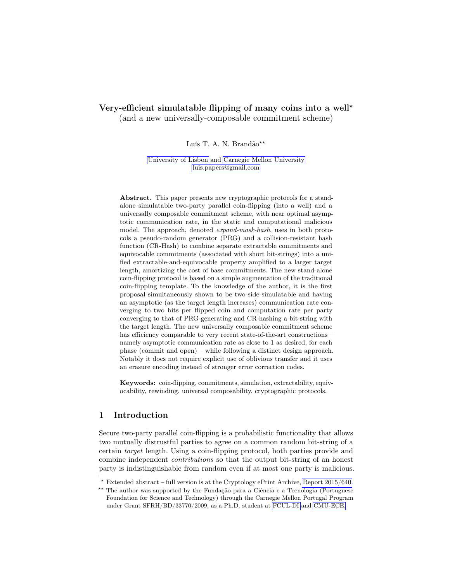# [Very-effici](https://www.ulisboa.pt)[ent](luis.papers@gmail.com) [simulatable flipping](https://www.cmu.edu) of many coins into a well? (and a new universally-composable commitment scheme)

Luís T. A. N. Brandão $**$ 

University of Lisbon and Carnegie Mellon University luis.papers@gmail.com

Abstract. This paper presents new cryptographic protocols for a standalone simulatable two-party parallel coin-flipping (into a well) and a universally composable commitment scheme, with near optimal asymptotic communication rate, in the static and computational malicious model. The approach, denoted *expand-mask-hash*, uses in both protocols a pseudo-random generator (PRG) and a collision-resistant hash function (CR-Hash) to combine separate extractable commitments and equivocable commitments (associated with short bit-strings) into a unified extractable-and-equivocable property amplified to a larger target length, amortizing the cost of base commitments. The new stand-alone coin-flipping protocol is based on a simple augmentation of the traditional coin-flipping template. To the knowledge of the author, it is the first proposal simultaneously shown to be two-side-simulatable and having an asymptotic (as the target length increases) communication rate converging to two bits per flipped coin and computation rate per party converging to that of PRG-generating and CR-hashing a bit-string with the target length. The new universally composable commitment scheme has efficiency comparable to very recent state-of-the-art constructions – namely asymptotic communication rate as close to 1 as desired, for each phase (commit and open) – while following a distinct design approach. Notably it does not require explicit use of oblivious transfer and it uses an erasure encoding instead of stronger error correction codes.

Keywords: coin-flipping, commitments, simulation, extractability, equivocability, rewinding, universal composability, cryptographic protocols.

# 1 Introduction

Secure two-party parallel coin-flipping is a [probabilistic fun](https://eprint.iacr.org/2015/640)ctionality that allows two mutually distrustful parties to agree on a common random bit-string of a certain target length. Using a c[oin-flippin](https://ciencias.ulisboa.pt/di)g p[rotocol, bo](https://www.cmu.edu/ece)th parties provide and combine independent *contributions* so that the output bit-string of an honest party is indistinguishable from random even if at most one party is malicious.

 $*$  Extended abstract – full version is at the Cryptology ePrint Archive, Report 2015/640.

 $\star\star$  The author was supported by the Fundação para a Ciência e a Tecnologia (Portuguese Foundation for Science and Technology) through the Carnegie Mellon Portugal Program under Grant SFRH/BD/33770/2009, as a Ph.D. student at FCUL-DI and CMU-ECE.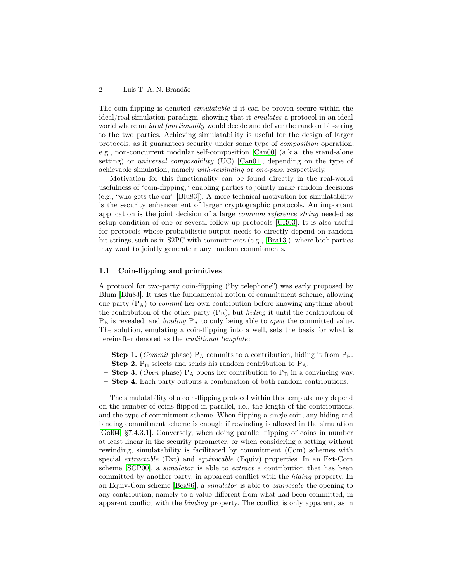<span id="page-1-2"></span>The coin-flipping is d[enoted](#page-26-0) *simulatable* if it can be proven secure within the ideal/real simulation paradigm, showing that it emulates a protocol in an ideal world where an *ideal functionality* would decide and deliver the random bit-string to the two parties. Achieving simulatability is useful for the design of larger pro[tocols,](#page-26-1) as it guarantees security under some type of composition operation, e.g., non-concurrent modular self-composition [Can00] (a.k.a. the stand-alone setting) or universal composability (UC) [Can01], depending on the type of achievable simulation, namely wit[h-rewin](#page-26-2)ding or one-pass, respectively.

Motivation for this functionality can be found directly in the real-world usefulness of "coin-flipping," e[nabling](#page-26-3) parties to jointly make random decisions (e.g., "who gets the car" [Blu83]). A more-technical motivation for simulatability is the security enhancement of larger cryptographic protocols. An important application is the joint decision of a large common reference string needed as setup condition of one or several follow-up protocols [CR03]. It is also useful for protocols whose probabilistic output needs to directly depend on random bit-strings, such as in S2PC-with-commitments (e.g., [Bra13]), where both parties may want to jointly generate many random commitments.

## 1.1 Coin-flipping and primitives

<span id="page-1-1"></span><span id="page-1-0"></span>A protocol for two-party coin-flipping ("by telephone") was early proposed by Blum [Blu83]. It uses the fundamental notion of commitment scheme, allowing one party  $(P_A)$  to *commit* her own contribution before knowing anything about the contribution of the other party  $(P_B)$ , but *hiding* it until the contribution of  $P_B$  is revealed, and *binding*  $P_A$  to only being able to *open* the committed value. The solution, emulating a coin-flipping into a well, sets the basis for what is hereinafter denoted as the traditional template:

- Step 1. (Commit phase)  $P_A$  commits to a contribution, hiding it from  $P_B$ .
- Step 2.  $P_B$  selects and sends his random contribution to  $P_A$ .
- Step 3. (Open phase)  $P_A$  opens her contribution to  $P_B$  in a convincing way.
- Step 4. Each party outputs a combination of both random contributions.

The simulatability of a coin-flipping protocol within this template may depend on the number of coins flipped in parallel, i.e., the length of the contributions, and the type of commitment scheme. When flipping a single coin, any hiding and binding commitment scheme is enough if rewinding is allowed in the simulation [[Gol04, §](#page-26-4)7.4.3.1]. Conversely, when doing parallel flipping of coins in number at least linear in the security parameter, or when considering a setting without rewinding, simulatability is facilitated by commitment (Com) schemes with special extractable (Ext) and equivocable (Equiv) properties. In an Ext-Com scheme [SCP00], a *simulator* is able to *extract* a contribution that has been committed by another party, in apparent conflict with the hiding property. In an Equiv-Com scheme [Bea96], a simulator is able to equivocate the opening to any contribution, namely to a value different from what had been committed, in apparent conflict with the binding property. The conflict is only apparent, as in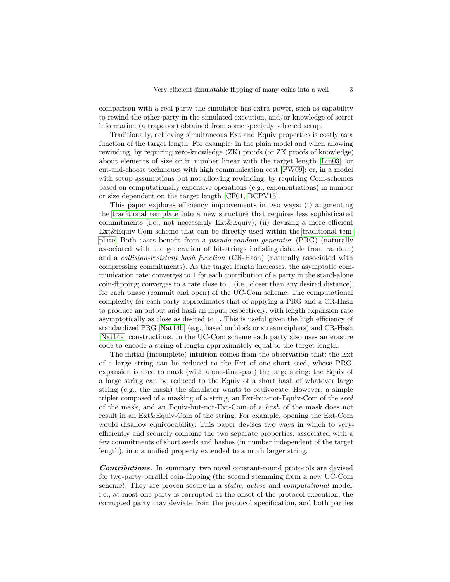<span id="page-2-0"></span>comparison with a real party the simulator has [extra p](#page-28-0)ower, such as capability to rewind the other party in the sim[ulated e](#page-29-0)xecution, and/or knowledge of secret information (a trapdoor) obtained from some specially selected setup.

Traditionally, achieving simultaneous Ext and Equiv properties is costly as a function of the tar[get len](#page-26-5)[gth. For ex](#page-25-0)ample: in the plain model and when allowing rewinding, by requiring zero-knowledge (ZK) proofs (or ZK proofs of knowledge) [abou](#page-1-0)t elements of size or in number linear with the target length [Lin03], or cut-and-choose techniques with high communication cost [PW09]; or, in a model with setup assumptions but not allowing [rewinding, by req](#page-1-0)uiring Com-schemes based on computationally expensive operations (e.g., exponentiations) in number or size dependent on the target length [CF01, BCPV13].

This paper explores efficiency improvements in two ways: (i) augmenting the traditional template into a new structure that requires less sophisticated commitments (i.e., not necessarily Ext&Equiv); (ii) devising a more efficient Ext&Equiv-Com scheme that can be directly used within the traditional template. Both cases benefit from a pseudo-random generator (PRG) (naturally associated with the generation of bit-strings indistinguishable from random) and a collision-resistant hash function (CR-Hash) (naturally associated with compressing commitments). As the target length increases, the asymptotic com[munic](#page-29-1)ation rate: converges to 1 for each contribution of a party in the stand-alone coin-flipping; converges to a rate close to 1 (i.e., closer than any desired distance), for each phase (commit and open) of the UC-Com scheme. The computational complexity for each party approximates that of applying a PRG and a CR-Hash to produce an output and hash an input, respectively, with length expansion rate asymptotically as close as desired to 1. This is useful given the high efficiency of standardized PRG [Nat14b] (e.g., based on block or stream ciphers) and CR-Hash [Nat14a] constructions. In the UC-Com scheme each party also uses an erasure code to encode a string of length approximately equal to the target length.

The initial (incomplete) intuition comes from the observation that: the Ext of a large string can be reduced to the Ext of one short seed, whose PRGexpansion is used to mask (with a one-time-pad) the large string; the Equiv of a large string can be reduced to the Equiv of a short hash of whatever large string (e.g., the mask) the simulator wants to equivocate. However, a simple triplet composed of a masking of a string, an Ext-but-not-Equiv-Com of the seed of the mask, and an Equiv-but-not-Ext-Com of a hash of the mask does not result in an Ext&Equiv-Com of the string. For example, opening the Ext-Com would disallow equivocability. This paper devises two ways in which to veryefficiently and securely combine the two separate properties, associated with a few commitments of short seeds and hashes (in number independent of the target length), into a unified property extended to a much larger string.

Contributions. In summary, two novel constant-round protocols are devised for two-party parallel coin-flipping (the second stemming from a new UC-Com scheme). They are proven secure in a *static*, *active* and *computational* model; i.e., at most one party is corrupted at the onset of the protocol execution, the corrupted party may deviate from the protocol specification, and both parties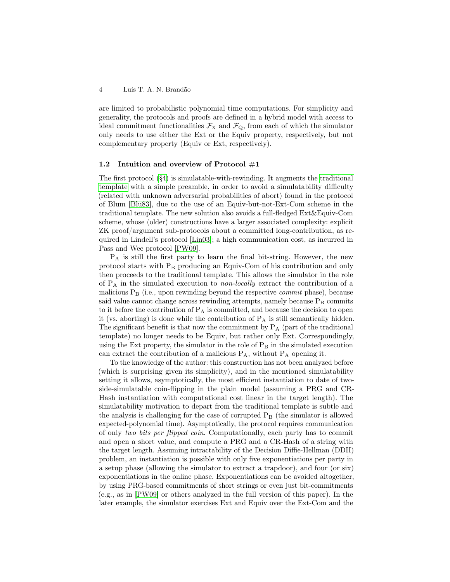<span id="page-3-1"></span><span id="page-3-0"></span>are limited to probabilistic polynomial time computations. For simplicity and generality, the protocols and proofs are defined in a hybrid model with access to [i](#page-10-0)deal commitment functionalities  $\mathcal{F}_{X}$  and  $\mathcal{F}_{Q}$ , f[rom each of](#page-1-0) which the simulator only needs to use either the Ext or the Equiv property, respectively, but not complementary property (Equiv or Ext, respectively).

### 1.2 Intuition and overview of Protocol  $#1$

The first protocol (§4) is simulatable-with-rewinding. It augments the traditional templa[te with](#page-28-0) a simple preamble, in order to avoid a simulatability difficulty (re[lated w](#page-29-0)ith unknown adversarial probabilities of abort) found in the protocol of Blum [Blu83], due to the use of an Equiv-but-not-Ext-Com scheme in the traditional template. The new solution also avoids a full-fledged Ext&Equiv-Com scheme, whose (older) constructions have a larger associated complexity: explicit ZK proof/argument sub-protocols about a committed long-contribution, as required in Lindell's protocol [Lin03]; a high communication cost, as incurred in Pass and Wee protocol [PW09].

P<sup>A</sup> is still the first party to learn the final bit-string. However, the new protocol starts with P<sub>B</sub> producing an Equiv-Com of his contribution and only then proceeds to the traditional template. This allows the simulator in the role of  $P_A$  in the simulated execution to *non-locally* extract the contribution of a malicious  $P_B$  (i.e., upon rewinding beyond the respective *commit* phase), because said value cannot change across rewinding attempts, namely because  $P_B$  commits to it before the contribution of  $P_A$  is committed, and because the decision to open it (vs. aborting) is done while the contribution of  $P_A$  is still semantically hidden. The significant benefit is that now the commitment by  $P_A$  (part of the traditional template) no longer needs to be Equiv, but rather only Ext. Correspondingly, using the Ext property, the simulator in the role of  $P_B$  in the simulated execution can extract the contribution of a malicious  $P_A$ , without  $P_A$  opening it.

To the knowledge of the author: this construction has not been analyzed before (which is surprising given its simplicity), and in the mentioned simulatability setting it allows, asymptotically, the most efficient instantiation to date of twoside-simulatable coin-flipping in the plain model (assuming a PRG and CR-Hash instantiation with computational cost linear in the target length). The simulatability motivation to depart from the traditional template is subtle and the analysis is challenging for the case of corrupted  $P_B$  (the simulator is allowed expected-polynomial time). Asymptotically, the protocol requires communication of only two bits per flipped coin. Computationally, each party has to commit and open a short value, and compute a PRG and a CR-Hash of a string with the target length. Assuming intractability of the Decision Diffie-Hellman (DDH) problem, an instantiation is possible with only five exponentiations per party in a setup phase (allowing the simulator to extract a trapdoor), and four (or six) exponentiations in the online phase. Exponentiations can be avoided altogether, by using PRG-based commitments of short strings or even just bit-commitments (e.g., as in [PW09] or others analyzed in the full version of this paper). In the later example, the simulator exercises Ext and Equiv over the Ext-Com and the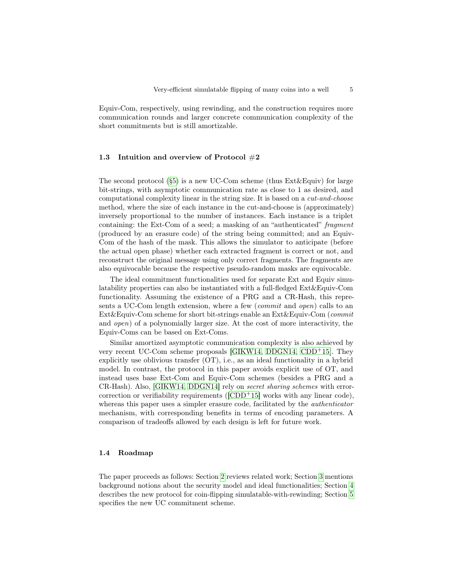<span id="page-4-0"></span>Equiv-Com, respectively, using rewinding, and the construction requires more communication rounds and larger concrete communication complexity of the [sho](#page-14-0)rt commitments but is still amortizable.

## 1.3 Intuition and overview of Protocol  $#2$

The second protocol  $(\S 5)$  is a new UC-Com scheme (thus Ext&Equiv) for large bit-strings, with asymptotic communication rate as close to 1 as desired, and computational complexity linear in the string size. It is based on a cut-and-choose method, where the size of each instance in the cut-and-choose is (approximately) inversely proportional to the number of instances. Each instance is a triplet containing: the Ext-Com of a seed; a masking of an "authenticated" fragment (produced by an erasure code) of the string being committed; and an Equiv-Com of the hash of the mask. This allows the simulator to anticipate (before the actual open phase) whether each extracted fragment is correct or not, and reconstruct the original message using only correct fragments. The fragments are also equivocable because the respective pseudo-random masks are equivocable.

The ideal commitment functionalities used for separate Ext and Equiv simulatability properties can also be instantiated with a full-fledged Ext&Equiv-Com functionality. Assu[ming the e](#page-27-0)[xistence o](#page-26-6)[f a PRG a](#page-26-7)nd a CR-Hash, this represents a UC-Com length extension, where a few (commit and open) calls to an Ext&Equiv-Com scheme for short bit-strings enable an Ext&Equiv-Com (commit and open) of a polynomially larger size. At the cost of more interactivity, the [Equiv](#page-27-0)[-Coms can](#page-26-6) be based on Ext-Coms.

Similar amortiz[ed asympt](#page-26-7)otic communication complexity is also achieved by very recent UC-Com scheme proposals [GIKW14, DDGN14, CDD<sup>+</sup>15]. They explicitly use oblivious transfer (OT), i.e., as an ideal functionality in a hybrid model. In contrast, the protocol in this paper avoids explicit use of OT, and instead uses base Ext-Com and Equiv-Com schemes (besides a PRG and a CR-Hash). Also, [GIKW14, DDGN14] rely on secret sharing schemes with errorcorrection or verifiability requirements  $(CDD+15]$  works with any linear code), whereas this paper uses a simpler erasure code, facilitated by the *authenticator* mechanism, with corresponding benefits in terms of encoding parameters. A comparison of tr[ad](#page-5-0)eoffs allowed by each design [is](#page-9-0) left for future work.

### 1.4 Roadmap

The paper proceeds as follows: Section 2 reviews related work; Section 3 mentions background notions about the security model and ideal functionalities; Section 4 describes the new protocol for coin-flipping simulatable-with-rewinding; Section 5 specifies the new UC commitment scheme.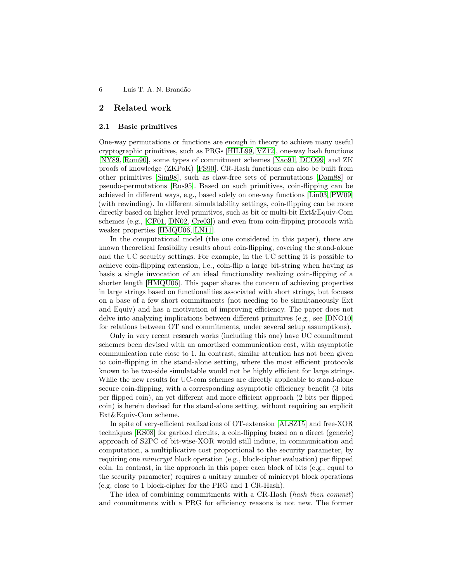# <span id="page-5-1"></span><span id="page-5-0"></span>2 Rel[ated](#page-27-1) work

## [2.](#page-29-3)[1 Ba](#page-29-4)sic primitives

One-way permutations or functions are enou[gh in t](#page-28-0)[heory to](#page-29-0) achieve many useful cryptographic primitives, such as PRGs [HILL99, VZ12], one-way hash functions [NY89, Rom90], some types of commitment schemes [Nao91, DCO99] and ZK [proofs](#page-27-2) [of know](#page-26-8)ledge (ZKPoK) [FS90]. CR-Hash functions can also be built from [other p](#page-28-2)[rimitiv](#page-28-3)es [Sim98], such as claw-free sets of permutations [Dam88] or pseudo-permutations [Rus95]. Based on such primitives, coin-flipping can be achieved in different ways, e.g., based solely on one-way functions [Lin03, PW09] (with rewinding). In different simulatability settings, coin-flipping can be more directly based on higher level primitives, such as bit or multi-bit Ext&Equiv-Com schemes (e.g., [CF01, DN02, Cre03]) and even from coin-flipping protocols with [weak](#page-28-2)er properties [HMQU06, LN11].

In the computational model (the one considered in this paper), there are known theoretical feasibility results about coin-flipping, covering the stand-alone and the UC security settings. For example, in the UC setting it is possible to achieve coin-flipping extension, i.e., coin-flip a la[rge bit-s](#page-27-3)tring when having as basis a single invocation of an ideal functionality realizing coin-flipping of a shorter length [HMQU06]. This paper shares the concern of achieving properties in large strings based on functionalities associated with short strings, but focuses on a base of a few short commitments (not needing to be simultaneously Ext and Equiv) and has a motivation of improving efficiency. The paper does not delve into analyzing implications between different primitives (e.g., see [DNO10] for relations between OT and commitments, under several setup assumptions).

Only in very recent research works (including this one) have UC commitment schemes been devised with an amortized communication cost, with asymptotic communication rate close to 1. In contrast, similar attention has not been given to coin-flipping in the stand-alone setting, where the most efficient protocols known to be two-side simulatable [would not](#page-25-1) be highly efficient for large strings. While the new results for UC-com schemes are directly applicable to stand-alone secure coin-flipping, with a corresponding asymptotic efficiency benefit (3 bits per flipped coin), an yet different and more efficient approach (2 bits per flipped coin) is herein devised for the stand-alone setting, without requiring an explicit Ext&Equiv-Com scheme.

In spite of very-efficient realizations of OT-extension [ALSZ15] and free-XOR techniques [KS08] for garbled circuits, a coin-flipping based on a direct (generic) approach of S2PC of bit-wise-XOR would still induce, in communication and computation, a multiplicative cost proportional to the security parameter, by requiring one minicrypt block operation (e.g., block-cipher evaluation) per flipped coin. In contrast, in the approach in this paper each block of bits (e.g., equal to the security parameter) requires a unitary number of minicrypt block operations (e.g, close to 1 block-cipher for the PRG and 1 CR-Hash).

The idea of combining commitments with a CR-Hash (hash then commit) and commitments with a PRG for efficiency reasons is not new. The former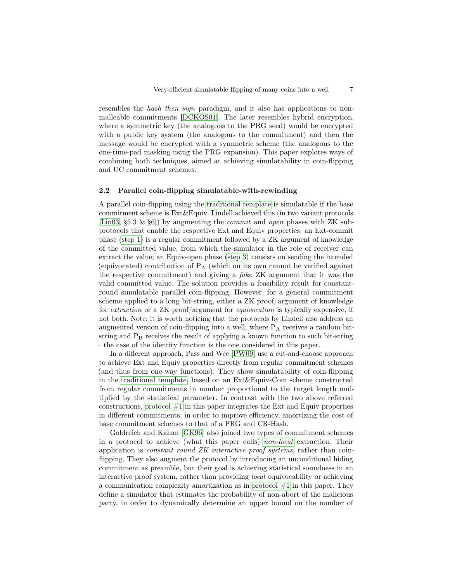<span id="page-6-0"></span>resembles the *hash then sign* paradigm, and it also has applications to nonmalleable commitments [DCKOS01]. The later resembles hybrid encryption, where a symmetric key (the analogous to the PRG seed) would be encrypted with a public key system (the analogous to the commitment) and then the message would be encrypted with a symmetric scheme (the analogous to the one-time-pa[d masking using the](#page-1-0) PRG expansion). This paper explores ways of combining both techniques, aimed at achieving simulatability in coin-flipping and UC commitment schemes.

### 2.2 Parallel coin-flipping simulatable-with-rewinding

A parallel coin-flip[ping us](#page-1-1)ing the traditional template is simulatable if the base commitment scheme is Ext&Equiv. Lindell achieved this (in two variant protocols [Lin03, §5.3 & §6]) by augmenting the commit and open phases with ZK subprotocols that enable the respective Ext and Equiv properties: an Ext-commit phase (step 1) is a regular commitment followed by a ZK argument of knowledge of the committed value, from which the simulator in the role of receiver can extract the value; an Equiv-open phase (step 3) consists on sending the intended (equivocated) contribution of  $P_A$  (which on its own cannot be verified against the respective commitment) and giving a fake ZK argument that it was the valid committed value. The solution provides a feasibility result for constantround simulatable parallel coin-flipping. However, for a general commitment scheme applied to a [long bi](#page-29-0)t-string, either a ZK proof/argument of knowledge for extraction or a ZK proof/argument for equivocation is typically expensive, if not both. Note: it is worth noticing that the protocols by Lindell also address an [augme](#page-1-0)nted version of coin-flipping into a well, where  $P_A$  receives a random bitstring and  $P_B$  receives the result of applying a known function to such bit-string – the case of the identity function is the one considered in this paper.

[In](#page-10-1) a different approach, Pass and Wee [PW09] use a cut-and-choose approach to achieve Ext and Equiv properties directly from regular commitment schemes (and thus from one-way functions). They show simulatability of coin-flipping in th[e tradi](#page-27-4)tional template, based on an Ext&Equiv-Com scheme constructed from regular commitments i[n number](#page-10-2) proportional to the target length multiplied by the statistical parameter. In contrast with the two above referred constructions, protocol  $#1$  in this paper integrates the Ext and Equiv properties in different commitments, in order to improve efficiency, amortizing the cost of base commitment schemes to that of a PRG and CR-Hash.

Goldreich and Kahan [[GK96\] also j](#page-10-1)oined two types of commitment schemes in a protocol to achieve (what this paper calls) non-local extraction. Their application is constant round ZK interactive proof systems, rather than coinflipping. They also augment the protocol by introducing an unconditional hiding commitment as preamble, but their goal is achieving statistical soundness in an interactive proof system, rather than providing local equivocability or achieving a communication complexity amortization as in protocol  $#1$  in this paper. They define a simulator that estimates the probability of non-abort of the malicious party, in order to dynamically determine an upper bound on the number of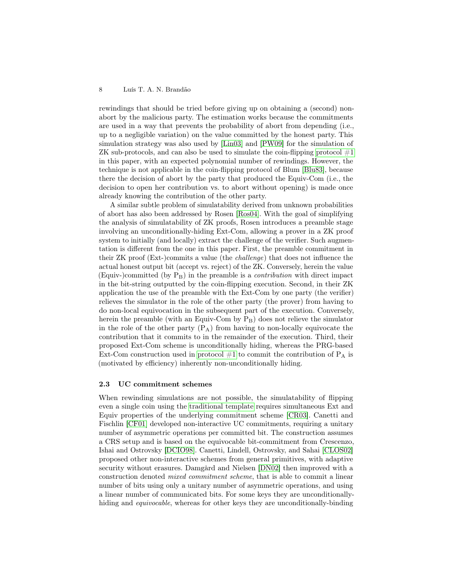<span id="page-7-0"></span>rewindings that should be tried before giving up on obtaining a (second) nonabort by the malicious party. The estimat[ion wo](#page-26-1)rks because the commitments are used in a way that prevents the probability of abort from depending (i.e., up to a negligible variation) on the value committed by the honest party. This simulation strategy was also used by [Lin03] and [PW09] for the simulation of ZK sub-protocols, and can also be used to simulate the coin-flipping protocol  $#1$ in this paper, with an [expect](#page-29-5)ed polynomial number of rewindings. However, the technique is not applicable in the coin-flipping protocol of Blum [Blu83], because there the decision of abort by the party that produced the Equiv-Com (i.e., the decision to open her contribution vs. to abort without opening) is made once already knowing the contribution of the other party.

A similar subtle problem of simulatability derived from unknown probabilities of abort has also been addressed by Rosen [Ros04]. With the goal of simplifying the analysis of simulatability of ZK proofs, Rosen introduces a preamble stage involving an unconditionally-hiding Ext-Com, allowing a prover in a ZK proof system to initially (and locally) extract the challenge of the verifier. Such augmentation is different from the one in this paper. First, the preamble commitment in their ZK proof (Ext-)commits a value (the challenge) that does not influence the actual honest output bit (accept vs. reject) of the ZK. Conversely, herein the value (Equiv-)committed (by  $P_B$ ) in the preamble is a *contribution* with direct impact in the bit-string outputted by the coin-flipping execution. Second, in their ZK application the use of the preamble with the Ext-Com by one party (the verifier) relieves t[he simulator](#page-10-1) in the role of the other party (the prover) from having to do non-local equivocation in the subsequent part of the execution. Conversely, herein the preamble (with an Equiv-Com by  $P_B$ ) does not relieve the simulator in the role of the other party  $(P_A)$  from having to non-locally equivocate the contribution that it commits to in the remainder of the execution. Third, their proposed Ext-Com scheme is unconditionally hiding, whereas the PRG-based Ext-C[om construction used](#page-1-0) in protocol  $#1$  to commit the contribution of  $P_A$  is (motivated by efficiency) inherently n[on-unc](#page-26-2)onditionally hiding.

### 2.3 UC commitment schemes

[When re](#page-26-9)winding simulations are not possible, [the simu](#page-26-10)latability of flipping even a single coin using the traditional template requires simultaneous Ext and Equiv properties of the und[erlying](#page-27-2) commitment scheme [CR03]. Canetti and Fischlin [CF01] developed non-interactive UC commitments, requiring a unitary number of asymmetric operations per committed bit. The construction assumes a CRS setup and is based on the equivocable bit-commitment from Crescenzo, Ishai and Ostrovsky [DCIO98]. Canetti, Lindell, Ostrovsky, and Sahai [CLOS02] proposed other non-interactive schemes from general primitives, with adaptive security without erasures. Damgård and Nielsen [DN02] then improved with a construction denoted mixed commitment scheme, that is able to commit a linear number of bits using only a unitary number of asymmetric operations, and using a linear number of communicated bits. For some keys they are unconditionallyhiding and *equivocable*, whereas for other keys they are unconditionally-binding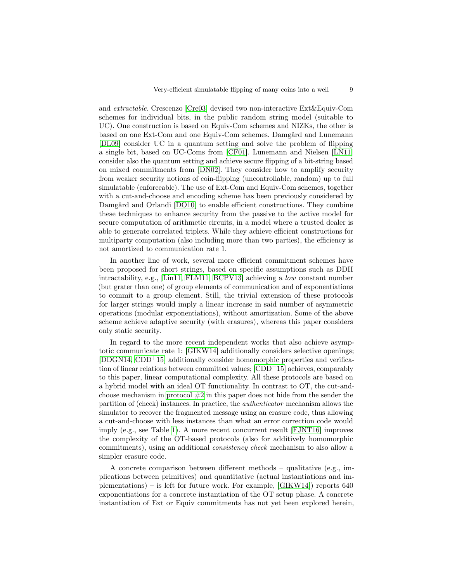<span id="page-8-0"></span>and extractable. Crescenzo [Cre03] devised two non-interactive Ext&Equiv-Com schemes f[or indi](#page-27-2)vidual bits, in the public random string model (suitable to UC). One construction is based on Equiv-Com schemes and NIZKs, the other is based on one Ext-Com and one Equiv-Com schemes. Damgård and Lunemann [DL09] consider UC in a quantum setting and solve the problem of flipping a [single b](#page-27-5)it, based on UC-Coms from [CF01]. Lunemann and Nielsen [LN11] consider also the quantum setting and achieve secure flipping of a bit-string based on mixed commitments from [DN02]. They consider how to amplify security from weaker security notions of coin-flipping (uncontrollable, random) up to full simulatable (enforceable). The use of Ext-Com and Equiv-Com schemes, together with a cut-and-choose and encoding scheme has been previously considered by Damgård and Orlandi [DO10] to enable efficient constructions. They combine these techniques to enhance security from the passive to the active model for [secur](#page-28-4)[e compu](#page-27-6)[tation of a](#page-25-0)rithmetic circuits, in a model where a trusted dealer is able to generate correlated triplets. While they achieve efficient constructions for multiparty computation (also including more than two parties), the efficiency is not amortized to communication rate 1.

In another line of work, several more efficient commitment schemes have been proposed for short strings, based on specific assumptions such as DDH intractability, e.g., [Lin11, FLM11, BCPV13] achieving a low constant number (but grater than one) of group elements of communication and of exponentiations to co[mmit to a](#page-27-0) group element. Still, the trivial extension of these protocols for larger strings would imply a linear increase in said number of asymmetric operations (modular expon[entiations\)](#page-26-7), without amortization. Some of the above scheme achieve adaptive security (with erasures), whereas this paper considers only static security.

[In regard](#page-17-0) to the more recent independent works that also achieve asymptotic communicate rate 1: [GIKW14] additionally considers selective openings; [DDGN14, CDD<sup>+</sup>15] additionally consider homomorphic properties and verification of linear relations between committed values; [CDD<sup>+</sup>15] achieves, comparably t[o t](#page-21-0)his paper, linear computational co[mplexity. A](#page-27-7)ll these protocols are based on a hybrid model with an ideal OT functionality. In contrast to OT, the cut-andchoose mechanism in protocol  $#2$  in this paper does not hide from the sender the partition of (check) instances. In practice, the authenticator mechanism allows the simulator to recover the fragmented message using an erasure code, thus allowing a cut-and-choose with less instances than what an error correction code would imply (e.g., see Table 1). A more [recent con](#page-27-0)current result [FJNT16] improves the complexity of the OT-based protocols (also for additively homomorphic commitments), using an additional consistency check mechanism to also allow a simpler erasure code.

A concrete comparison between different methods – qualitative  $(e.g., in-)$ plications between primitives) and quantitative (actual instantiations and implementations) – is left for future work. For example, [GIKW14]) reports 640 exponentiations for a concrete instantiation of the OT setup phase. A concrete instantiation of Ext or Equiv commitments has not yet been explored herein,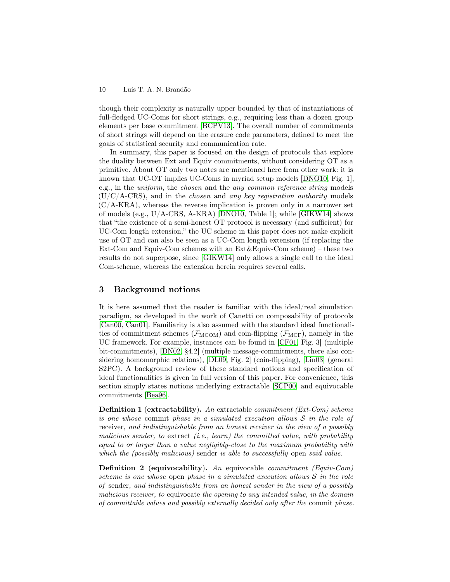<span id="page-9-1"></span>though their complexity is naturally upper bounded by that of instantiations of full-fledged UC-Coms for short strings, e.g., requiring less than a dozen group elements per base commitment [BCPV13][. The ove](#page-27-3)rall number of commitments of short strings will depend on the erasure code parameters, defined to meet the goals of statistical security and communication rate.

In summary, this paper is focused on the design of protocols that explore the duality between [Ext](#page-27-3) and Equiv com[mitments, w](#page-27-0)ithout considering OT as a primitive. About OT only two notes are mentioned here from other work: it is known that UC-OT implies UC-Coms in myriad setup models [DNO10, Fig. 1], e.g., in the uniform, the chosen and the any common reference string models  $(U/C/A-CRS)$ , and in the *chosen* and any key registration authority models  $(C/A-KRA)$ , whereas the reverse implication is proven only in a narrower set of models (e.g., U/A-CRS, A-KRA) [DNO10, Table 1]; while [GIKW14] shows that "the existence of a semi-honest OT protocol is necessary (and sufficient) for UC-Com length extension," the UC scheme in this paper does not make explicit use of OT and can also be seen as a UC-Com length extension (if replacing the Ext-Com and Equiv-Com schemes with an Ext&Equiv-Com scheme) – these two results do not superpose, since [GIKW14] only allows a single call to the ideal Com-scheme, whereas the extension herein requires several calls.

# <span id="page-9-0"></span>[3 B](#page-27-2)ackground notions

It is here as[sumed](#page-27-8) that the reader is fa[miliar w](#page-28-0)ith the ideal/real simulation paradigm, as developed in the work of Canetti on composability of protocols [Can00, Can01]. Familiarity is also assumed with the standard ideal functionalities of commitment schemes ( $\mathcal{F}_{\text{MCOM}}$ [\) an](#page-29-6)d coin-flipping ( $\mathcal{F}_{\text{MCF}}$ ), namely in the [U](#page-26-4)C framework. For example, instances can be found in [CF01, Fig. 3] (multiple bit-commitments), [DN02, §4.2] (multiple message-commitments, there also considering homomorphic relations), [DL09, Fig. 2] (coin-flipping), [Lin03] (general S<sub>2</sub>PC). A background review of these standard notions and specification of ideal functionalities is given in full version of this paper. For convenience, this section simply states notions underlying extractable [SCP00] and equivocable commitments [Bea96].

Definition 1 (extractability). An extractable commitment (Ext-Com) scheme is one whose commit phase in a simulated execution allows  $S$  in the role of receiver, and indistinguishable from an honest receiver in the view of a possibly malicious sender, to extract  $(i.e., learn)$  the committed value, with probability equal to or larger than a value negligibly-close to the maximum probability with which the (possibly malicious) sender is able to successfully open said value.

Definition 2 (equivocability). An equivocable commitment (Equiv-Com) scheme is one whose open phase in a simulated execution allows  $S$  in the role of sender, and indistinguishable from an honest sender in the view of a possibly malicious receiver, to equivocate the opening to any intended value, in the domain of committable values and possibly externally decided only after the commit phase.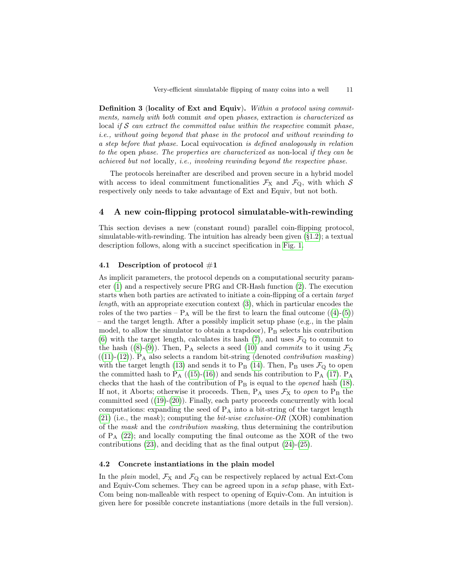<span id="page-10-2"></span>Definition 3 (locality of Ext and Equiv). Within a protocol using commitments, namely with both commit and open phases, extraction is characterized as local if S can extract the committed value within the respective commit phase, i.e., without going beyond that phase in the protocol and without rewinding to a step before that phase. Local equivocation is defined analogously in relation to the open phase. The properties are characterized as non-local if they can be achieved but not locally, i.e., involving rewinding beyond the respective phase.

<span id="page-10-0"></span>The protocols hereinafter are described and proven secure in a hybrid model with access to ideal commitment functio[naliti](#page-3-0)es  $\mathcal{F}_{X}$  and  $\mathcal{F}_{Q}$ , with which S respectively only needs to take adva[ntage o](#page-11-0)f Ext and Equiv, but not both.

## <span id="page-10-1"></span>4 A new coin-flipping protocol simulatable-with-rewinding

This section devises a new (constant [rou](#page-11-1)nd) parallel coin-flipping protocol, simulatable-with-rewinding. The intuition has already been given (§1.2); a textual description follows, alon[g w](#page-11-2)ith a succinct specification in Fig. 1.

### 4.1 Description of protocol  $#1$

As implicit parameters, the protocol depends on a computational security parameter (1) and a respectively [sec](#page-11-3)ure PRG and CR-Hash function (2). The execution starts when both parties [are](#page-11-4) activated to initiate a coin-flipping of a certain target length, with an appropriate [exe](#page-11-6)cution context (3), which in particular encodes the ro[les](#page-11-5) of the two parties –  $P_A$  will be the first to learn the final outcome  $((4)-(5))$ – and t[he t](#page-11-7)a[rge](#page-11-8)t length. After a possibly implicit s[etu](#page-11-9)p phase (e.g., in the plain model, to allow the simulator to obtain a trapdoor),  $P_B$  [se](#page-11-10)lects his contribution (6) with the target length, calculates its hash (7), and uses  $\mathcal{F}_{Q}$  to commit to t[he h](#page-11-11)ash ((8)-(9)). Then, P<sub>A</sub> selects a seed (10) and *commits* to it using  $\mathcal{F}_{X}$  $((11)-(12))$ . P<sub>A</sub> also selects a random bit-string (denoted *contribution masking*) with the target length (13) and sends it to  $P_B$  (14). Then,  $P_B$  uses  $\mathcal{F}_Q$  to open the committed hash to  $P_A$  ((15)-(16)) and sends his contribution to  $P_A$  (17).  $P_A$ checks that the hash of the contribution of  $P_B$  is equal to the *opened* hash  $(18)$ . If not, it Aborts; otherwise it proce[eds](#page-11-12). [Th](#page-11-13)en,  $P_A$  uses  $\mathcal{F}_X$  to open to  $P_B$  the committed seed ((19)-(20)). Finally, each party proceeds concurrently with local computations: expanding the seed of  $P_A$  into a bit-string of the target length (21) (i.e., the *mask*); computing the *bit-wise exclusive-OR* (XOR) combination of the mask and the contribution masking, thus determining the contribution of  $P_A$  (22); and locally computing the final outcome as the XOR of the two contributions (23), and deciding that as the final output (24)-(25).

## 4.2 Concrete instantiations in the plain model

In the plain model,  $\mathcal{F}_{\rm X}$  and  $\mathcal{F}_{\rm Q}$  can be respectively replaced by actual Ext-Com and Equiv-Com schemes. They can be agreed upon in a setup phase, with Ext-Com being non-malleable with respect to opening of Equiv-Com. An intuition is given here for possible concrete instantiations (more details in the full version).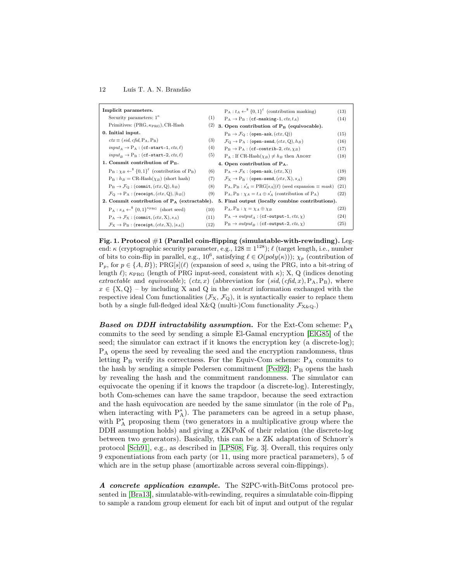<span id="page-11-16"></span><span id="page-11-15"></span><span id="page-11-14"></span><span id="page-11-13"></span><span id="page-11-12"></span><span id="page-11-11"></span><span id="page-11-10"></span><span id="page-11-9"></span><span id="page-11-8"></span><span id="page-11-7"></span><span id="page-11-6"></span><span id="page-11-5"></span><span id="page-11-4"></span><span id="page-11-3"></span><span id="page-11-2"></span><span id="page-11-1"></span><span id="page-11-0"></span>

| Implicit parameters. |                                                                                                                | $P_A: t_A \leftarrow^{\$} \{0,1\}^{\ell}$ (contribution masking) | (13)                                                                        |      |  |  |
|----------------------|----------------------------------------------------------------------------------------------------------------|------------------------------------------------------------------|-----------------------------------------------------------------------------|------|--|--|
|                      | Security parameters: $1^{\kappa}$                                                                              | (1)                                                              | $P_A \rightarrow P_B$ : (cf-masking-1, ctx, t <sub>A</sub> )                | (14) |  |  |
|                      | Primitives: $(PRG, \kappa_{PRG})$ , CR-Hash                                                                    | (2)                                                              | 3. Open contribution of $P_B$ (equivocable).                                |      |  |  |
|                      | 0. Initial input.                                                                                              |                                                                  | $P_B \rightarrow F_O$ : (open-ask, $(ctx, Q)$ )                             | (15) |  |  |
|                      | $ctx \equiv (sid, cfd, P_A, P_B)$                                                                              | (3)                                                              | $\mathcal{F}_{\Omega} \to P_A$ : (open-send, $(\mathit{ctx}, Q), h_B)$      | (16) |  |  |
|                      | $input_A \rightarrow P_A$ : (cf-start-1, ctx, $\ell$ )                                                         | (4)                                                              | $P_B \rightarrow P_A$ : (cf-contrib-2, ctx, $\chi_B$ )                      | (17) |  |  |
|                      | $input_B \rightarrow P_B$ : (cf-start-2, ctx, $\ell$ )                                                         | (5)                                                              | $P_A$ : If CR-Hash $(\chi_B) \neq h_B$ then ABORT                           | (18) |  |  |
|                      | 1. Commit contribution of $P_B$ .                                                                              |                                                                  | 4. Open contribution of $P_A$ .                                             |      |  |  |
|                      | $P_B: \chi_B \leftarrow^{\$} \{0,1\}^{\ell}$ (contribution of $P_B$ )                                          | (6)                                                              | $P_A \rightarrow \mathcal{F}_X$ : (open-ask, $(\mathit{ctx}, X)$ )          | (19) |  |  |
|                      | $P_B: h_B = CR-Hash(\chi_B)$ (short hash)                                                                      | (7)                                                              | $\mathcal{F}_{X} \rightarrow P_{B}$ : (open-send, $(\text{ctx}, X), s_A)$ ) | (20) |  |  |
|                      | $P_B \rightarrow F_Q$ : (commit, $(ctx, Q), h_B$ )                                                             | (8)                                                              | $P_A, P_B : s'_A = PRG[s_A](\ell)$ (seed expansion $\equiv$ mask)           | (21) |  |  |
|                      | $\mathcal{F}_{\mathcal{Q}} \to \mathcal{P}_{\mathcal{A}}$ : (receipt, $(\mathit{ctx}, \mathcal{Q}),  h_B )$    | (9)                                                              | $P_A, P_B: \chi_A = t_A \oplus s'_A$ (contribution of $P_A$ )               | (22) |  |  |
|                      | 2. Commit contribution of $P_A$ (extractable).                                                                 |                                                                  | 5. Final output (locally combine contributions).                            |      |  |  |
|                      | $P_A: s_A \leftarrow^{\$} \{0,1\}^{\kappa_{\text{PRG}}}$ (short seed)                                          | (10)                                                             | $P_A, P_B: \chi = \chi_A \oplus \chi_B$                                     | (23) |  |  |
|                      | $P_A \rightarrow \mathcal{F}_X$ : (commit, $(ctx, X), s_A$ )                                                   | (11)                                                             | $P_A \rightarrow output_A : (cf-output-1, ctx, \chi)$                       | (24) |  |  |
|                      | $\mathcal{F}_{\rm X} \rightarrow {\rm P}_{\rm B}$ : (receipt, $(\mathit{ctx}, {\rm X}),  \mathit{s}_{\rm A} )$ | (12)                                                             | $P_B \rightarrow output_B$ : (cf-output-2, ctx, $\chi$ )                    | (25) |  |  |

Fig. 1. Protocol  $\#1$  (Parallel coin-flipping (simulatable-with-rewinding). Legend:  $\kappa$  (cryptographic security parameter, e.g.,  $128 \equiv 1^{128}$ );  $\ell$  (target length, i.e., number of bits to coin-flip in parallel, e.g.,  $10^6$ , satisfying  $\ell \in O(poly(\kappa))$ ;  $\chi_p$  (contribution of  $P_p$ , for  $p \in \{A, B\}$ ; PRG[s]( $\ell$ ) (expansion of seed s, using the PRG, into a bit-string of length  $\ell$ );  $\kappa_{\text{PRG}}$  (length of PRG input-seed, consistent with  $\kappa$ ); X, Q (indices denoting extractable and equivocable); (ctx, x) (abbrevi[ation for](#page-27-9)  $(sid, (cfd, x), P_A, P_B)$ , where  $x \in \{X, Q\}$  – by including X and Q in the *context* information exchanged with the respective ideal Com functionalities  $(\mathcal{F}_X, \mathcal{F}_Q)$ , it is syntactically easier to replace them both by a single full-fledged ideal X&Q (multi-)Com functionality  $\mathcal{F}_{X&Q}$ .)

**Based on DDH intractability assumption.** For the Ext-Com scheme:  $P_A$ commits to the seed by sending a simple El-Gamal encryption [ElG85] of the seed; the simulator can extract if it knows the encryption key (a discrete-log); P<sup>A</sup> opens the seed by revealing the seed and the encryption randomness, thus letting  $P_B$  verify its correctness. For the Equiv-Com scheme:  $P_A$  commits to the hash by sending a simple Pedersen commitment  $[Ped92]$ ;  $P_B$  opens the hash by revealing the hash and the commitment randomness. The simulator can equivocate the opening if it knows the trapdoor (a discrete-log). Interestingly, both Com-sche[mes can](#page-28-5) have the same trapdoor, because the seed extraction and the hash equivocation are needed by the same simulator (in the role of  $P_B$ , when interacting with  $P_A^*$ ). The parameters can be agreed in a setup phase, with  $P_A^*$  proposing them (two generators in a multiplicative group where the DDH assumption holds) and giving a ZKPoK of their relation (the discrete-log between two generators). Basically, this can be a ZK adaptation of Schnorr's protocol [Sch91], e.g., as described in [LPS08, Fig. 3]. Overall, this requires only 9 exponentiations from each party (or 11, using more practical parameters), 5 of which are in the setup phase (amortizable across several coin-flippings).

A concrete application example. The S2PC-with-BitComs protocol presented in [Bra13], simulatable-with-rewinding, requires a simulatable coin-flipping to sample a random group element for each bit of input and output of the regular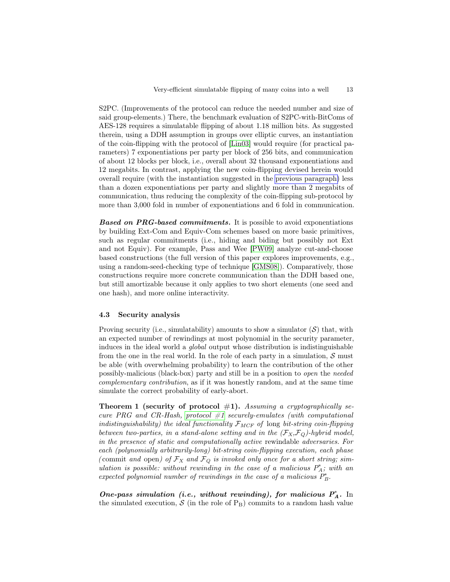<span id="page-12-0"></span>S2PC. (Improvements of the protocol can reduce the needed number and size of said group-elements.) There, the benchmark evaluation of S2PC-with-BitComs of AES-128 requires a simulatable fli[pping of about 1.18](par:protwithrewind:DDH-based-instantiation) million bits. As suggested therein, using a DDH assumption in groups over elliptic curves, an instantiation of the coin-flipping with the protocol of [Lin03] would require (for practical parameters) 7 exponentiations per party per block of 256 bits, and communication of about 12 blocks per block, i.e., overall about 32 thousand exponentiations and 12 megabits. In contrast, applying the new coin-flipping devised herein would overall require (with the instantiation suggested in the previous paragraph) less than a dozen exponentiations per party and slightly more than 2 megabits of communication, thus reduc[ing the](#page-29-0) complexity of the coin-flipping sub-protocol by more than 3,000 fold in nu[mber of e](#page-27-10)xponentiations and 6 fold in communication.

Based on PRG-based commitments. It is possible to avoid exponentiations by building Ext-Com and Equiv-Com schemes based on more basic primitives, such as regular commitments (i.e., hiding and biding but possibly not Ext and not Equiv). For example, Pass and Wee [PW09] analyze cut-and-choose based constructions (the full version of this paper explores improvements, e.g., using a random-seed-checking type of technique [GMS08]). Comparatively, those constructions require more concrete communication than the DDH based one, but still amortizable because it only applies to two short elements (one seed and one hash), and more online interactivity.

### 4.3 Security analysis

Proving security (i.e., simulatability) amounts to show a simulator  $(S)$  that, with an expected number of rewindings at most polynomial in the security parameter, induces in the ideal world a global output whose distribution is indistinguishable from the one in the real world. In the role of each party in a simulation,  $S$  must be ab[le \(with over](#page-10-1)whelming probability) to learn the contribution of the other possibly-malicious (black-box) party and still be in a position to open the needed complementary contribution, as if it was honestly random, and at the same time simulate the correct probability of early-abort.

**Theorem 1 (security of protocol**  $\#1$ ). Assuming a cryptographically secure PRG and CR-Hash, protocol  $#1$  securely-emulates (with computational indistinguishability) the ideal functionality  $\mathcal{F}_{MCF}$  of long bit-string coin-flipping between two-parties, in a stand-alone setting and in the  $(\mathcal{F}_X, \mathcal{F}_Q)$ -hybrid model, in the presence of static and computationally active rewindable adversaries. For each (polynomially arbitrarily-long) bit-string coin-flipping execution, each phase (commit and open) of  $\mathcal{F}_X$  and  $\mathcal{F}_Q$  is invoked only once for a short string; simulation is possible: without rewinding in the case of a malicious  $P_A^*$ ; with an expected polynomial number of rewindings in the case of a malicious  $P_B^*$ .

One-pass simulation (i.e., without rewinding), for malicious  $P_A^*$ . In the simulated execution,  $\mathcal{S}$  (in the role of  $P_B$ ) commits to a random hash value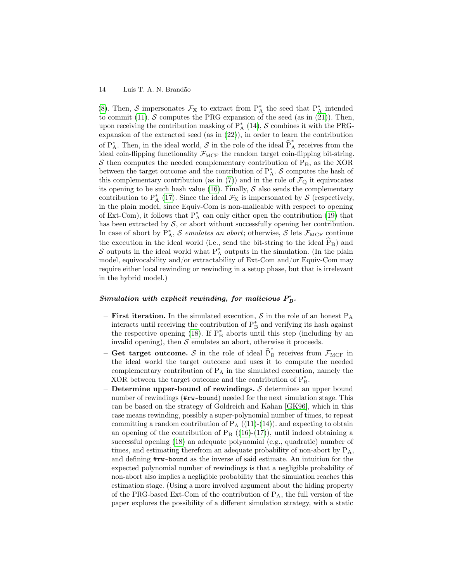(8). Then,  $S$  impersonates  $\mathcal{F}_X$  to extract from  $P_A^*$  the seed that  $P_A^*$  intended to commit (11). S computes the PRG expansion of the seed (as in  $(21)$ ). Then, upon receiving the [co](#page-11-3)ntribution masking of  $P_A^*$  (14), S combines it with the PRGexpansion of [the](#page-11-8) extracted seed (as in (22)), in order to learn the contribution [of](#page-11-9)  $P_A^*$ . Then, in the ideal world,  $S$  in the role of the ideal  $\widehat{P}_A^*$  receives from the ideal coin-flipping functionality  $\mathcal{F}_{MCF}$  the random target coin-flipping bit-string. S then computes the needed complementary con[trib](#page-11-14)ution of  $P_B$ , as the XOR between the target outcome and the contribution of  $P_A^*$ . S computes the hash of this complementary contribution (as in (7)) and in the role of  $\mathcal{F}_{Q}$  it equivocates its opening to be such hash value  $(16)$ . Finally, S also sends the complementary contribution to  $P_{A}^{*}$  (17). Since the ideal  $\mathcal{F}_{X}$  is impersonated by S (respectively, in the plain model, since Equiv-Com is non-malleable with respect to opening of Ext-Com), it follows that  $P_A^*$  can only either open the contribution (19) that has been extracted by  $S$ , or abort without successfully opening her contribution. In case of abort by  $P_A^*$ , S emulates an abort; otherwise, S lets  $\mathcal{F}_{MCF}$  continue the execution in the ideal world (i.e., send the bit-string to the ideal  $P_B$ ) and S outputs in the ideal world what  $P_A^*$  outputs in the simulation. (In the plain model, equivocability and/or extractability of Ext-Com and/or Equiv-Com may require either local rewinding or rewinding in a setup phase, but that is irrelevant in the [hyb](#page-11-10)rid model.)

# Simulation with explicit rewinding, for malicious  $P_B^*$ .

- First iteration. In the simulated execution, S in the role of an honest  $P_A$ interacts until receiving the contribution of  $\mathrm{P}_{\mathrm{B}}^{*}$  and verifying its hash against the respective opening (18). If  $P_B^*$  aborts until this step (including by an invalid opening), then  $S$  emulates an abort, otherwise it proceeds.
- − Get target outcome. S in th[e role o](#page-27-4)f ideal  $\widehat{P}_{B}^{*}$  receives from  $\mathcal{F}_{MCF}$  in the ideal world the target outcome and uses it to compute the needed complementary cont[ribu](#page-11-15)t[ion](#page-11-6) of  $P_A$  in the simulated execution, namely the XOR between the [targ](#page-11-8)e[t ou](#page-11-9)tcome and the contribution of  $\mathrm{P}_{\mathrm{B}}^{*}.$
- [D](#page-11-10)etermine upper-bound of rewindings. S determines an upper bound number of rewindings ( $\#rw$ -bound) needed for the next simulation stage. This can be based on the strategy of Goldreich and Kahan [GK96], which in this case means rewinding, possibly a super-polynomial number of times, to repeat committing a random contribution of  $P_A$  ((11)-(14)). and expecting to obtain an opening of the contribution of  $P_B$  ((16)-(17)), until indeed obtaining a successful opening (18) an adequate polynomial (e.g., quadratic) number of times, and estimating therefrom an adequate probability of non-abort by  $P_A$ , and defining #rw-bound as the inverse of said estimate. An intuition for the expected polynomial number of rewindings is that a negligible probability of non-abort also implies a negligible probability that the simulation reaches this estimation stage. (Using a more involved argument about the hiding property of the PRG-based Ext-Com of the contribution of  $P_A$ , the full version of the paper explores the possibility of a different simulation strategy, with a static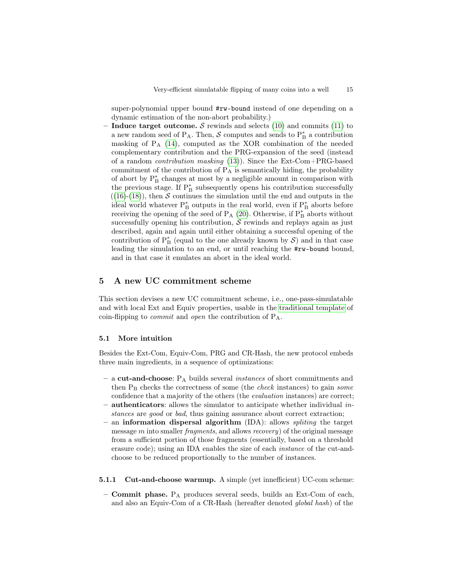super-polynom[ial](#page-11-5) upper bound #rw-bound instead of one depending on a dynamic estimation of the non-abort probability.)

– Induce target outcome. S rewinds and selects  $(10)$  and commits  $(11)$  to a new random seed of P<sub>A</sub>. Then, S computes and sends to  $P_B^*$  a contribution masking of  $P_A$  (14), computed as the XOR combination of the needed complementary contribution and the PRG-expansion of the seed (instead of a random cont[ribu](#page-11-11)tion masking (13)). Since the Ext-Com+PRG-based commitment of the contribution of  $P_A$  is semantically hiding, the probability of abort by  $P_B^*$  changes at most by a negligible amount in comparison with the previous stage. If  $P_B^*$  subsequently opens his contribution successfully  $((16)-(18))$ , then S continues the simulation until the end and outputs in the ideal world whatever  $P_B^*$  outputs in the real world, even if  $P_B^*$  aborts before receiving the opening of the seed of  $P_A$  (20). Otherwise, if  $P_B^*$  aborts without successfully opening his contribution,  $S$  rewinds and replays again as just described, again and again until either obtaining a successful opening of the contribution of  $P_B^*$  (equal to the one already known by  $S$ ) and in that case leading the simulation to an e[nd, or until reaching](#page-1-0) the #rw-bound bound, and in that case it emulates an abort in the ideal world.

# <span id="page-14-0"></span>5 A new UC commitment scheme

This section devises a new UC commitment scheme, i.e., one-pass-simulatable and with local Ext and Equiv properties, usable in the traditional template of coin-flipping to *commit* and *open* the contribution of  $P_A$ .

### 5.1 More intuition

Besides the Ext-Com, Equiv-Com, PRG and CR-Hash, the new protocol embeds three main ingredients, in a sequence of optimizations:

- a cut-and-choose: P<sup>A</sup> builds several instances of short commitments and then  $P_B$  checks the correctness of some (the *check* instances) to gain *some* confidence that a majority of the others (the evaluation instances) are correct;
- $-$  **authenticators**: allows the simulator to anticipate whether individual instances are good or bad, thus gaining assurance about correct extraction;
- an **information dispersal algorithm** (IDA): allows *spliting* the target message  $m$  into smaller *fragments*, and allows *recovery*) of the original message from a sufficient portion of those fragments (essentially, based on a threshold erasure code); using an IDA enables the size of each instance of the cut-andchoose to be reduced proportionally to the number of instances.
- 5.1.1 Cut-and-choose warmup. A simple (yet innefficient) UC-com scheme:
- **Commit phase.**  $P_A$  produces several seeds, builds an Ext-Com of each, and also an Equiv-Com of a CR-Hash (hereafter denoted global hash) of the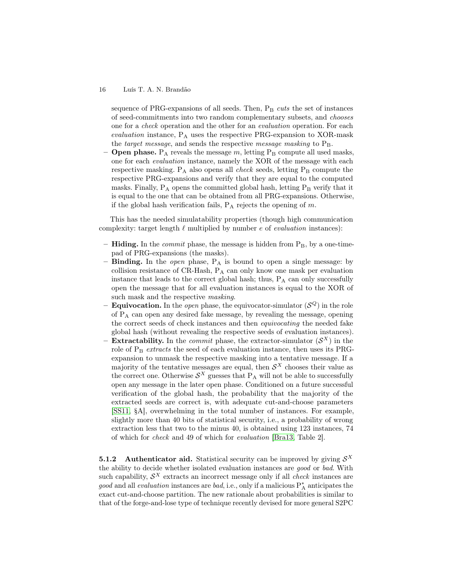<span id="page-15-0"></span>sequence of PRG-expansions of all seeds. Then,  $P_B \; cuts$  the set of instances of seed-commitments into two random complementary subsets, and chooses one for a check operation and the other for an evaluation operation. For each evaluation instance,  $P_A$  uses the respective PRG-expansion to XOR-mask the *target message*, and sends the respective *message masking* to  $P_B$ .

**Open phase.**  $P_A$  reveals the message m, letting  $P_B$  compute all used masks, one for each evaluation instance, namely the XOR of the message with each respective masking.  $P_A$  also opens all *check* seeds, letting  $P_B$  compute the respective PRG-expansions and verify that they are equal to the computed masks. Finally,  $P_A$  opens the committed global hash, letting  $P_B$  verify that it is equal to the one that can be obtained from all PRG-expansions. Otherwise, if the global hash verification fails,  $P_A$  rejects the opening of m.

This has the needed simulatability properties (though high communication complexity: target length  $\ell$  multiplied by number e of *evaluation* instances):

- $-$  **Hiding.** In the *commit* phase, the message is hidden from  $P_B$ , by a one-timepad of PRG-expansions (the masks).
- **Binding.** In the *open* phase,  $P_A$  is bound to open a single message: by collision resistance of CR-Hash, P<sup>A</sup> can only know one mask per evaluation instance that leads to the correct global hash; thus,  $P_A$  can only successfully open the message that for all evaluation instances is equal to the XOR of such mask and the respective *masking*.
- **Equivocation.** In the *open* phase, the equivocator-simulator  $(S^Q)$  in the role of P<sup>A</sup> can open any desired fake message, by revealing the message, opening the correct seeds of check instances and then equivocating the needed fake global hash (without revealing the respective seeds of evaluation instances).
- Extractability. In the *commit* phase, the extractor-simulator  $(S^X)$  in the role of  $P_B$  extracts the seed of each evaluation instance, then uses its PRGexpansion to unmask the respective masking into a tentative message. If a majority of the tentative messages are equal, then  $S<sup>X</sup>$  chooses their value as the correct one. Otherwise  $S^X$  guesses that  $P_A$  will not be able to successfully open any message in the later [open p](#page-26-3)hase. Conditioned on a future successful verification of the global hash, the probability that the majority of the extracted seeds are correct is, with adequate cut-and-choose parameters [SS11, §A], overwhelming in the total number of instances. For example, slightly more than 40 bits of statistical security, i.e., a probability of wrong extraction less that two to the minus 40, is obtained using 123 instances, 74 of which for check and 49 of which for evaluation [Bra13, Table 2].

**5.1.2** Authenticator aid. Statistical security can be improved by giving  $S^X$ the ability to decide whether isolated evaluation instances are good or bad. With such capability,  $S^X$  extracts an incorrect message only if all *check* instances are *good* and all *evaluation* instances are *bad*, i.e., only if a malicious  $P_A^*$  anticipates the exact cut-and-choose partition. The new rationale about probabilities is similar to that of the forge-and-lose type of technique recently devised for more general S2PC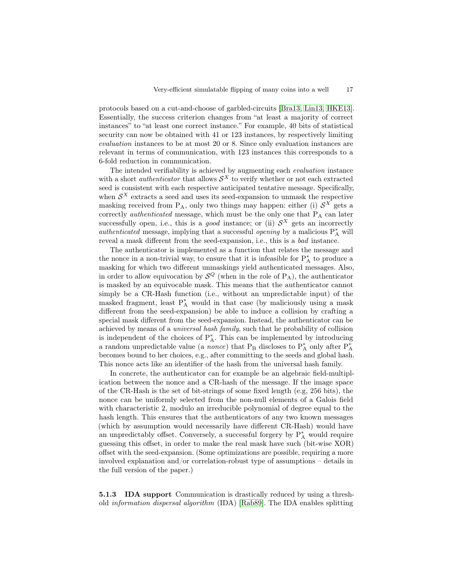<span id="page-16-0"></span>protocols based on a cut-and-choose of garbled-circuits [Bra13, Lin13, HKE13]. Essentially, the success criterion changes from "at least a majority of correct instances" to "at least one correct instance." For example, 40 bits of statistical security can now be obtained with 41 or 123 instances, by respectively limiting evaluation instances to be at most 20 or 8. Since only evaluation instances are relevant in terms of communication, with 123 instances this corresponds to a 6-fold reduction in communication.

The intended verifiability is achieved by augmenting each evaluation instance with a short *authenticator* that allows  $S^X$  to verify whether or not each extracted seed is consistent with each respective anticipated tentative message. Specifically, when  $S<sup>X</sup>$  extracts a seed and uses its seed-expansion to unmask the respective masking received from  $P_A$ , only two things may happen: either (i)  $S^X$  gets a correctly *authenticated* message, which must be the only one that  $P_A$  can later successfully open, i.e., this is a *good* instance; or (ii)  $S<sup>X</sup>$  gets an incorrectly authenticated message, implying that a successful opening by a malicious  $P_A^*$  will reveal a mask different from the seed-expansion, i.e., this is a bad instance.

The authenticator is implemented as a function that relates the message and the nonce in a non-trivial way, to ensure that it is infeasible for  $P_A^*$  to produce a masking for which two different unmaskings yield authenticated messages. Also, in order to allow equivocation by  $S^Q$  (when in the role of  $P_A$ ), the authenticator is masked by an equivocable mask. This means that the authenticator cannot simply be a CR-Hash function (i.e., without an unpredictable input) of the masked fragment, least  $P_A^*$  would in that case (by maliciously using a mask different from the seed-expansion) be able to induce a collision by crafting a special mask different from the seed-expansion. Instead, the authenticator can be achieved by means of a universal hash family, such that he probability of collision is independent of the choices of  $P_A^*$ . This can be implemented by introducing a random unpredictable value (a *nonce*) that P<sub>B</sub> discloses to P<sub>A</sub><sup>\*</sup> only after P<sub>A</sub><sup>\*</sup> becomes bound to her choices, e.g., after committing to the seeds and global hash. This nonce acts like an identifier of the hash from the universal hash family.

In concrete, the authenticator can for example be an algebraic field-multiplication between the nonce and a CR-hash of the message. If the image space of the CR-Hash is the set of bit-strings of some fixed length (e.g, 256 bits), the nonce can be uniformly selected from the non-null elements of a Galois field with characteristic 2, modulo an irreducible polynomial of degree equal to the hash length. This ensures that the authenticators of any two known messages (which by assumption would necessarily have different CR-Hash) would have an unpredictably offset. Conversely, a successful forgery by  $P_A^*$  would require guessing this offset, in [order t](#page-29-7)o make the real mask have such (bit-wise XOR) offset with the seed-expansion. (Some optimizations are possible, requiring a more involved explanation and/or correlation-robust type of assumptions – details in the full version of the paper.)

5.1.3 IDA support Communication is drastically reduced by using a threshold information dispersal algorithm (IDA) [Rab89]. The IDA enables splitting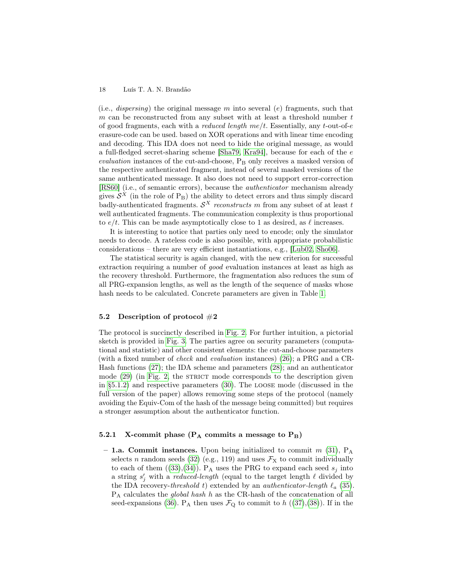<span id="page-17-1"></span>(i.e., *dispersing*) the original message m into several (e) fragments, such that  $m$  can be reconstructed from any subset with at least a threshold number  $t$ of good fragments, each with a *reduced length me/t*. Essentially, any  $t$ -out-of-e erasure-code can be used. based on XOR operations and with linear time encoding and decoding. This IDA does not need to hide the original message, as would a full-fledged secret-sharing scheme [Sha79, Kra94], because for each of the e  $evaluation$  instances of the cut-and-choose,  $P_B$  only receives a masked version of the respective authenticated fragment, instead of several masked versions of the same authenticated message. It also does not need to support error-correction [RS60] (i.e., of semantic errors), because the authenticator mechanism already gives  $S^X$  (in the role of P<sub>B</sub>) the ability [to dete](#page-28-6)[ct error](#page-29-8)s and thus simply discard badly-authenticated fragments.  $S<sup>X</sup>$  reconstructs m from any subset of at least t well authenticated fragments. The communication complexity is thus proportional to  $e/t$ . This can be made asymptotically close to 1 as desired, as  $\ell$  increases.

It is interesting to notice that parties only need to encode; only the simulator needs to decode. A rateless code is also possibl[e, w](#page-21-0)ith appropriate probabilistic considerations – there are very efficient instantiations, e.g., [Lub02, Sho06].

<span id="page-17-0"></span>The statistical security is again changed, with the new criterion for successful extraction requiring a number of good evaluation instances at least as high as the recovery thres[hold. F](#page-18-0)urthermore, the fragmentation also reduces the sum of [all PR](#page-20-0)G-expansion lengths, as well as the length of the sequence of masks whose hash needs to be calculated. Concrete parameters are given in Table 1.

## [5](#page-18-0).2 Description of protocol  $#2$

The protocol is s[ucci](#page-18-2)nctly described in Fig. 2. For further intuition, a pictorial sketch is provided in Fig. 3. The parties agree on security parameters (computational and statistic) and other consistent elements: the cut-and-choose parameters (with a fixed number of check and evaluation instances) (26); a PRG and a CR-Hash functions (27); the IDA scheme and parameters (28); and an authenticator mode  $(29)$  (in Fig. 2, the stratcher mode corresponds to the description given in §5.1.2) and respective parameters (30). The loose mode (discussed in the full version of the paper) allows removing some s[tep](#page-18-3)s of the protocol (namely avoidin[g th](#page-18-4)e Equiv-Com of the hash of the message being committed) but requires a [str](#page-18-5)o[nge](#page-18-6)r assumption about the authenticator function.

## 5.2.1 X-commit phase  $(P_A$  commits a messag[e to](#page-18-7)  $P_B$ )

[–](#page-18-8) 1.a. Commit instances. Upon b[ein](#page-18-9)g [ini](#page-18-10)tialized to commit  $m(31)$ ,  $P_A$ selects n random seeds (32) (e.g., 119) and uses  $\mathcal{F}_{X}$  to commit individually to each of them  $((33),(34))$ . P<sub>A</sub> uses the PRG to expand each seed  $s_j$  into a string  $s'_j$  with a *reduced-length* (equal to the target length  $\ell$  divided by the IDA recovery-threshold t) extended by an *authenticator-length*  $\ell_a$  (35).  $P_A$  calculates the *global hash h* as the CR-hash of the concatenation of all seed-expansions (36).  $P_A$  then uses  $\mathcal{F}_Q$  to commit to h ((37),(38)). If in the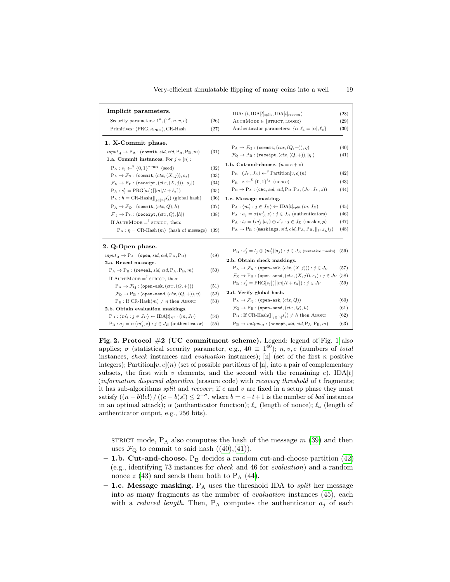<span id="page-18-28"></span><span id="page-18-23"></span><span id="page-18-22"></span><span id="page-18-21"></span><span id="page-18-16"></span><span id="page-18-15"></span><span id="page-18-14"></span><span id="page-18-13"></span><span id="page-18-12"></span><span id="page-18-11"></span><span id="page-18-10"></span><span id="page-18-9"></span><span id="page-18-8"></span><span id="page-18-7"></span><span id="page-18-6"></span><span id="page-18-5"></span><span id="page-18-4"></span><span id="page-18-3"></span><span id="page-18-2"></span><span id="page-18-1"></span><span id="page-18-0"></span>

| Implicit parameters.                                                                   |      | IDA: $(t, \text{IDA}[t]_{split}, \text{IDA}[t]_{recover})$                                              | (28) |
|----------------------------------------------------------------------------------------|------|---------------------------------------------------------------------------------------------------------|------|
| Security parameters: $1^{\kappa}$ , $(1^{\sigma}, n, v, e)$                            | (26) | $AUTH MODE \in \{STATET, LOOSE\}$                                                                       | (29) |
| Primitives: $(PRG, \kappa_{PRG})$ , CR-Hash                                            | (27) | Authenticator parameters: $\{\alpha, \ell_a =  \alpha , \ell_z\}$                                       | (30) |
| 1. X-Commit phase.                                                                     |      |                                                                                                         |      |
| $input_A \rightarrow P_A$ : (commit, sid, cid, $P_A$ , $P_B$ , m)                      | (31) | $P_A \rightarrow \mathcal{F}_Q$ : (commit, $(ctx, (Q, +)), \eta$ )                                      | (40) |
| <b>1.a.</b> Commit instances. For $j \in [n]$ :                                        |      | $\mathcal{F}_{\mathcal{Q}} \to \mathcal{P}_{\mathcal{B}}$ : (receipt, $(\mathit{ctx}, (Q, +)),  \eta )$ | (41) |
| $P_A: s_j \leftarrow^{\$} \{0,1\}^{\kappa_{\text{PRG}}}$ (seed)                        | (32) | 1.b. Cut-and-choose. $(n = e + v)$                                                                      |      |
| $P_A \rightarrow \mathcal{F}_X$ : (commit, $(\text{ctx}, (X, j)), s_i)$                | (33) | $P_B: (J_V, J_E) \leftarrow^{\$} \text{Partition}[v, e](n)$                                             | (42) |
| $\mathcal{F}_{X} \rightarrow P_{B}$ : (receipt, $(\text{ctx}, (X, j)),  s_i )$         | (34) | $P_B: z \leftarrow^{\$} \{0,1\}^{\ell_z}$ (nonce)                                                       | (43) |
| $P_A: s'_i = PRG[s_i] ( [  m /t + \ell_a ] )$                                          | (35) | $P_B \rightarrow P_A$ : (c&c, sid, cid, $P_B$ , $P_A$ , ( $J_V$ , $J_E$ , z))                           | (44) |
| $P_A: h = CR\text{-Hash}(  _{j\in[n]}s'_j)$ (global hash)                              | (36) | 1.c. Message masking.                                                                                   |      |
| $P_A \rightarrow \mathcal{F}_Q$ : (commit, $(\text{ctx}, Q), h)$                       | (37) | $P_A: \langle m'_i : j \in J_E \rangle \leftarrow IDA[t]_{split}(m, J_E)$                               | (45) |
| $\mathcal{F}_{Q} \rightarrow P_{B}$ : (receipt, $(ctx, Q),  h $ )                      | (38) | $P_A: a_j = \alpha(m'_i, z): j \in J_E$ (authenticators)                                                | (46) |
| If AUTHMODE $=$ <sup>7</sup> STRICT, then:                                             |      | $P_A: t_i = (m'_i  a_i) \oplus s'_i : j \in J_E$ (maskings)                                             | (47) |
| $P_A: \eta = \text{CR-Hash}(m)$ (hash of message)                                      | (39) | $P_A \rightarrow P_B$ : (maskings, sid, cid, $P_A$ , $P_B$ , $  _{j \in J_E} t_j)$                      | (48) |
| 2. Q-Open phase.                                                                       |      |                                                                                                         |      |
| $input_A \rightarrow \mathrm{P_A}$ : (open, $sid, \, cid, \mathrm{P_A}, \mathrm{P_B})$ | (49) | $P_B: s'_i = t_j \oplus (m'_j    a_j) : j \in J_E$ (tentative masks)                                    | (56) |
| 2.a. Reveal message.                                                                   |      | 2.b. Obtain check maskings.                                                                             |      |
| $P_A \rightarrow P_B$ : (reveal, sid, cid, $P_A$ , $P_B$ , m)                          | (50) | $P_A \rightarrow \mathcal{F}_X$ : (open-ask, $(\text{ctx}, (X, j)))$ : $j \in J_V$                      | (57) |
| If AUTHMODE $=$ <sup>7</sup> sTRICT, then:                                             |      | $\mathcal{F}_{X} \to P_{B}$ : (open-send, $(\text{ctx}, (X, j)), s_{i}) : j \in J_{V}$                  | (58) |
| $P_A \rightarrow \mathcal{F}_Q$ : (open-ask, $(\text{ctx}, (Q, +)))$                   | (51) | $P_B: s'_j = PRG[s_j] (  m /t + \ell_a]) : j \in J_V$                                                   | (59) |
| $\mathcal{F}_{Q} \rightarrow P_{B}$ : (open-send, $(ctx, (Q, +)), \eta$ )              | (52) | 2.d. Verify global hash.                                                                                |      |
| $P_B$ : If CR-Hash $(m) \neq \eta$ then ABORT                                          | (53) | $P_A \rightarrow \mathcal{F}_Q$ : (open-ask, $(\mathit{ctx}, Q)$ )                                      | (60) |
| 2.b. Obtain evaluation maskings.                                                       |      | $\mathcal{F}_{\text{Q}} \to \text{P}_{\text{B}}$ : (open-send, $(\text{ctx}, Q), h)$                    | (61) |
| $P_B: \langle m'_i : j \in J_E \rangle \leftarrow IDA[t]_{split}(m, J_E)$              | (54) | $P_B$ : If CR-Hash $(  _{j \in [n]} s'_j) \neq h$ then ABORT                                            | (62) |
| $P_B: a_j = \alpha(m'_i, z) : j \in J_E$ (authenticator)                               | (55) | $P_B \rightarrow output_B$ : (accept, sid, cid, PA, P <sub>B</sub> , m)                                 | (63) |

<span id="page-18-27"></span><span id="page-18-26"></span><span id="page-18-25"></span><span id="page-18-24"></span><span id="page-18-20"></span><span id="page-18-19"></span><span id="page-18-18"></span><span id="page-18-17"></span>Fig. 2. Protocol  $#2$  (UC commitment scheme). Legend: legend of Fig. 1 also applies;  $\sigma$  (statistical security parameter, e.g.,  $40 \equiv 1^{40}$ );  $n, v, e$  (numbers of total instances, check instances and evaluation instances); [n] (set of the first n positive integers); Partition $[v, e](n)$  (set of possible partitions of  $[n]$ , into a pair of complementary subsets, the first with v elements, and the second with the remaining  $e$ ). IDA[t] (information dispersal algorithm (erasure code) [with](#page-18-11) recovery threshold of t fragments; it has sub-algorithms  $split$  and  $recover$ ; if  $e$  and  $v$  are fixed in a setup phase they must satisfy  $((n - b)!e!) / ((e - b)s!) \leq 2^{-\sigma}$  $((n - b)!e!) / ((e - b)s!) \leq 2^{-\sigma}$ , where  $b = e - t + 1$  is the number of bad instances in an optimal attack);  $\alpha$  (authenticator function);  $\ell_z$  (leng[th o](#page-18-14)f nonce);  $\ell_a$  (length of authenticator output, e.g., 256 bits).

STRICT mode,  $P_A$  also computes the hash o[f th](#page-18-15)e message  $m$  (39) and then uses  $\mathcal{F}_{Q}$  to commit to said hash  $((40),(41)).$ 

- $-$  1.b. Cut-and-choose.  $P_B$  decides a random cut-and-choose partition (42) (e.g., identifying 73 instances for check and 46 for evaluation) and a random nonce  $z$  (43) and sends them both to  $P_A$  (44).
- 1.c. Message masking.  $P_A$  uses the threshold IDA to *split* her message into as many fragments as the number of evaluation instances (45), each with a *reduced length*. Then,  $P_A$  computes the authenticator  $a_j$  of each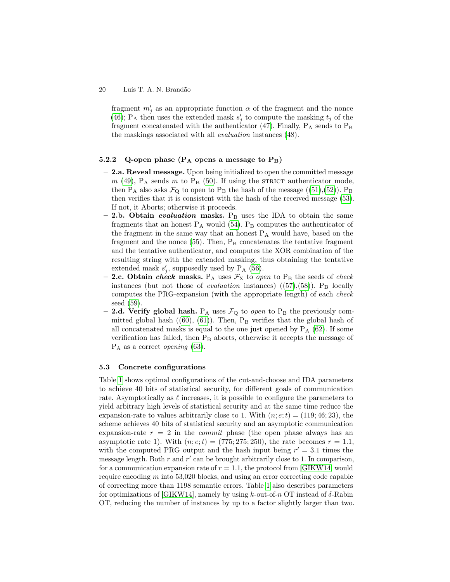<span id="page-19-0"></span>fragment  $m'_j$  as an appropriate function  $\alpha$  of the fragment and the nonce (46); P<sub>A</sub> then uses the extended mask  $s'_{j}$  to compute the masking  $t_{j}$  of the fragmen[t co](#page-18-16)ncatenated with the authenticator (47). Finally,  $P_A$  sends to  $P_B$ the maskings associated with all evaluati[on](#page-18-17) i[nsta](#page-18-18)nces (48).

# 5.2.2 Q-open phase  $(P_A \text{ opens a message to } P_B)$

- $-2.a.$  Reveal m[essa](#page-18-19)ge. Upon being initialized to open the committed message  $m$  (49),  $P_A$  sends  $m$  to  $P_B$  (50). If using the STRICT authenticator mode, then  $P_A$  $P_A$  also asks  $\mathcal{F}_Q$  to open to  $P_B$  the hash of the message ((51),(52)).  $P_B$ then verifies that it is consistent with the hash of the received message (53). If not, it Aborts; otherwise it proceeds.
- $-$  2.b. Obtain *evalua[tion](#page-18-21)* masks. P<sub>B</sub> uses the IDA to obtain the same fragments that an honest  $P_A$  would (54).  $P_B$  computes the authenticator of the fragment in the same way th[at a](#page-18-22)[n ho](#page-18-23)nest  $P_A$  would have, based on the fragment and the nonce  $(55)$ . Then,  $P_B$  concatenates the tentative fragment and the tentative authenticator, and computes the XOR combination of the resulting string with the extended masking, thus obtaining the tentative [exte](#page-18-24)n[ded](#page-18-25) mask  $s'_j$ , supposedly used by  $P_A$  (56).
- **2.c. Obtain check masks.** P<sub>A</sub> uses  $\mathcal{F}_X$  [to](#page-18-26) open to P<sub>B</sub> the seeds of check instances (but not those of *evaluation* instances)  $((57),(58))$ . P<sub>B</sub> locally com[put](#page-18-27)es the PRG-expansion (with the appropriate length) of each check seed (59).
- 2.d. Verify global hash.  $P_A$  uses  $\mathcal{F}_Q$  to open to  $P_B$  the previously committed global hash  $((60), (61))$ . Then,  $P_B$  verifies that the global hash of all concatenated masks is equal to the one just opened by  $P_A$  (62). If some verification has failed, then  $P_B$  aborts, otherwise it accepts the message of P<sup>A</sup> as a correct opening (63).

# 5.3 Concrete configurations

Table 1 shows optimal configurations of the cut-and-choose and IDA parameters to achieve 40 bits of statistical security, for different goals of communication rate. Asymptotically as  $\ell$  increases, it is possible to configure the parameters to yield arbitrary high levels of statistical security and at the same time reduce the expansion-rate to values arbitrarily close [to 1. With](#page-27-0)  $(n; e; t) = (119; 46; 23)$ , the scheme achieves 40 bits of statistical security and an asymptotic communication expansion-rate  $r = 2$  in the *[co](#page-21-0)mmit* phase (the open phase always has an [asympto](#page-27-0)tic rate 1). With  $(n; e; t) = (775; 275; 250)$ , the rate becomes  $r = 1.1$ , with the computed PRG output and the hash input being  $r' = 3.1$  times the message length. Both  $r$  and  $r'$  can be brought arbitrarily close to 1. In comparison, for a communication expansion rate of  $r = 1.1$ , the protocol from [GIKW14] would require encoding  $m$  into 53,020 blocks, and using an error correcting code capable of correcting more than 1198 semantic errors. Table 1 also describes parameters for optimizations of [GIKW14], namely by using k-out-of-n OT instead of  $\delta$ -Rabin OT, reducing the number of instances by up to a factor slightly larger than two.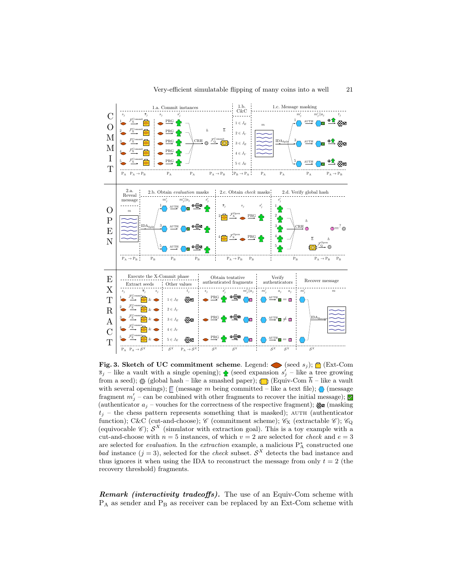<span id="page-20-0"></span>

Fig. 3. Sketch of UC commitment scheme. Legend:  $\bullet$  (seed  $s_j$ );  $\bullet$  (Ext-Com  $\overline{s}_j$  – like a vault with a single opening);  $\triangleq$  (seed expansion  $s'_j$  – like a tree growing from a seed);  $\triangleq$  (global hash – like a smashed paper);  $\square$  (Equiv-Com  $h$  – like a vault with several openings);  $\mathbb{E}$  (message m being committed – like a text file);  $\bigcirc$  (message fragment  $m'_j$  – can be combined with other fragments to recover the initial message); (authenticator  $a_i$  – vouches for the correctness of the respective fragment);  $\otimes$  (masking  $t_i$  – the chess pattern represents something that is masked); AUTH (authenticator function); C&C (cut-and-choose);  $\mathscr{C}$  (commitment scheme);  $\mathscr{C}_X$  (extractable  $\mathscr{C}$ );  $\mathscr{C}_Q$ (equivocable  $\mathscr{C}$ );  $\mathcal{S}^X$  (simulator with extraction goal). This is a toy example with a cut-and-choose with  $n = 5$  instances, of which  $v = 2$  are selected for *check* and  $e = 3$ are selected for *evaluation*. In the *extraction* example, a malicious  $P_A^*$  constructed one *bad* instance  $(j = 3)$ , selected for the *check* subset.  $S<sup>X</sup>$  detects the bad instance and thus ignores it when using the IDA to reconstruct the message from only  $t = 2$  (the recovery threshold) fragments.

**Remark (interactivity tradeoffs).** The use of an Equiv-Com scheme with  $P_A$  as sender and  $P_B$  as receiver can be replaced by an Ext-Com scheme with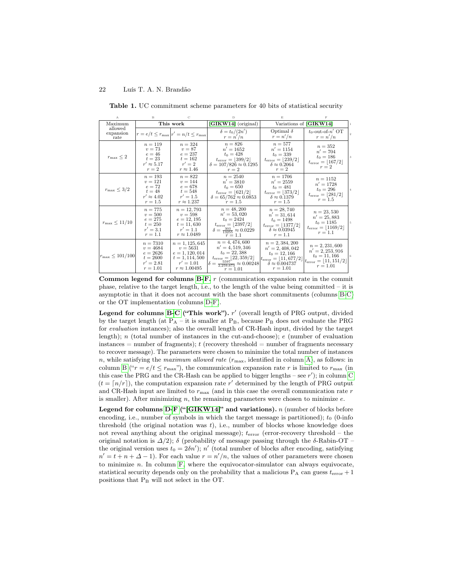| $\mathbf{A}$                 | $\mathcal{C}$<br>B.                                                               |                                                                                                               | $\mathbb{D}$                                                                                                                                                                    | E                                                                                                                                 | F                                                                                                      |                |
|------------------------------|-----------------------------------------------------------------------------------|---------------------------------------------------------------------------------------------------------------|---------------------------------------------------------------------------------------------------------------------------------------------------------------------------------|-----------------------------------------------------------------------------------------------------------------------------------|--------------------------------------------------------------------------------------------------------|----------------|
| Maximum                      | This work                                                                         |                                                                                                               | [GIKW14] (original)                                                                                                                                                             | Variations of [GIKW14]                                                                                                            |                                                                                                        |                |
| allowed<br>expansion<br>rate |                                                                                   | $r = e/t \leq r_{\text{max}} r' = n/t \leq r_{\text{max}}$                                                    | $\delta = t_0/(2n')$<br>$r = n'/n$                                                                                                                                              | Optimal $\delta$<br>$r = n'/n$                                                                                                    | $t_0$ -out-of- $n'$ OT<br>$r = n'/n$                                                                   |                |
| $r_{\max} \leq 2$            | $n = 119$<br>$v=73$<br>$e = 46$<br>$t=23$<br>$r' \approx 5.17$<br>$r=2$           | $n = 324$<br>$v=87$<br>$e = 237$<br>$t=162$<br>$r'=2$<br>$r \approx 1.46$                                     | $n = 826$<br>$n' = 1652$<br>$t_0 = 428$<br>$t_{\rm error} =  399/2 $<br>$\delta = 107/826 \approx 0.1295$<br>$r=2$                                                              | $n=577$<br>$n' = 1154$<br>$t_0 = 339$<br>$t_{\rm error} =  239/2 $<br>$\delta \approx 0.2064$<br>$r=2$                            | $n=352$<br>$n' = 704$<br>$t_0 = 186$<br>$t_{\rm error} = \lfloor 167/2 \rfloor$<br>$r=2$               |                |
| $r_{\text{max}} \leq 3/2$    | $n=193$<br>$v = 121$<br>$e=72$<br>$t=48$<br>$r' \approx 4.02$<br>$r=1.5$          | $n = 822$<br>$v = 144$<br>$e = 678$<br>$t = 548$<br>$r' = 1.5$<br>$r \approx 1.237$                           | $n = 2540$<br>$n' = 3810$<br>$t_0 = 650$<br>$t_{\rm error} = \lfloor 621/2 \rfloor$<br>$\delta = 65/762 \approx 0.0853$<br>$r=1.5$                                              | $n = 1706$<br>$n' = 2559$<br>$t_0 = 481$<br>$t_{\rm error} =  373/2 $<br>$\delta \approx 0.1379$<br>$r=1.5$                       | $n = 1152$<br>$n' = 1728$<br>$t_0 = 296$<br>$t_{\rm error} =  281/2 $<br>$r=1.5$                       |                |
| $r_{\text{max}} \leq 11/10$  | $n = 775$<br>$v = 500$<br>$e = 275$<br>$t = 250$<br>$r' = 3.1$<br>$r=1.1$         | $n = 12,793$<br>$v = 598$<br>$e = 12, 195$<br>$t = 11,630$<br>$r' = 1.1$<br>$r \approx 1.0489$                | $n = 48,200$<br>$n' = 53,020$<br>$t_0 = 2424$<br>$t_{\rm error} =  2397/2 $<br>$\delta = \frac{303}{13255} \approx 0.0229$<br>$r=1.1$                                           | $n = 28,740$<br>$n' = 31,614$<br>$t_0 = 1498$<br>$t_{\rm error} =  1377/2 $<br>$\delta \approx 0.03945$<br>$r=1.1$                | $n = 23,530$<br>$n' = 25,883$<br>$t_0 = 1185$<br>$t_{\rm error} =  1169/2 $<br>$r=1.1$                 | $\overline{5}$ |
| $r_{\max} \leq 101/100$      | $n = 7310$<br>$v = 4684$<br>$e = 2626$<br>$t = 2600$<br>$r' = 2.81$<br>$r = 1.01$ | $n = 1, 125, 645$<br>$v = 5631$<br>$e = 1,120,014$<br>$t = 1, 114, 500$<br>$r' = 1.01$<br>$r \approx 1.00495$ | $n = 4,474,600$<br>$n' = 4,519,346$<br>$t_0 = 22,388$<br>$t_{\rm error} = \lfloor 22, 359/2 \rfloor$<br>$\delta = \frac{5597^{\circ}}{2,259,673} \approx 0.00248$<br>$r = 1.01$ | $n = 2,384,200$<br>$n' = 2,408,042$<br>$t_0 = 12, 166$<br>$t_{\rm error} =  11,677/2 $<br>$\delta \approx 0.004737$<br>$r = 1.01$ | $n = 2,231,600$<br>$n' = 2, 253, 916$<br>$t_0 = 11,166$<br>$t_{\rm error} =  11, 151/2 $<br>$r = 1.01$ | $\,$ 6         |

<span id="page-21-5"></span><span id="page-21-4"></span><span id="page-21-3"></span><span id="page-21-2"></span><span id="page-21-1"></span><span id="page-21-0"></span>Table 1. UC commitment scheme parameters for 40 bits of statistical security

Common legend for columns B-F.  $r$  (communication expansion rate in the commit phase, relative to the target length, i.e., to the length of the value being committed – it is asymptotic in that it does not account with the base short commitments (columns B-C) or the OT implementation (columns D-F).

Legend for columns B-C ("This work").  $r'$  (overall length of PRG output, divided by the target length (at  $P_A$  – it is smaller at  $P_B$ , because  $P_B$  d[oes](#page-21-2) not evaluate the PRG for evaluation instances); also the overall length of CR-Hash input, divided by the target length);  $n$  (total number of instances in the cut-and-choose);  $e$  (number of evaluation instances = number of fragments);  $t$  (recovery threshold = number of fragments necessary [to](#page-21-3) [re](#page-21-4)co[ver message\)](#page-27-0). The parameters were chosen to minimize the total number of instances n, while satisfying the maximum allowed rate ( $r_{\text{max}}$ , identified in column A), as follows: in column B (" $r = e/t \le r_{\text{max}}$ "), the communication expansion rate r is limited to  $r_{\text{max}}$  (in this case the PRG and the CR-Hash can be applied to bigger lengths – see  $r'$ ); in column C  $(t = \lfloor n/r \rfloor)$ , the computation expansion rate r' determined by the length of PRG output and CR-Hash input are limited to  $r_{\text{max}}$  (and in this case the overall communication rate r is smaller). After minimizing  $n$ , the remaining parameters were chosen to minimize  $e$ .

Le[gen](#page-21-4)d for columns D-F (" $\textbf{[GIKW14]}$ " and variations). n (number of blocks before encoding, i.e., number of symbols in which the target message is partitioned);  $t_0$  (0-info threshold (the original notation was  $t$ ), i.e., number of blocks whose knowledge does not reveal anything about the original message);  $t_{\text{error}}$  (error-recovery threshold – the original notation is  $\Delta/2$ );  $\delta$  (probability of message passing through the  $\delta$ -Rabin-OT – the original version uses  $t_0 = 2\delta n'$ ; n' (total number of blocks after encoding, satisfying  $n' = t + n + \Delta - 1$ . For each value  $r = n'/n$ , the values of other parameters were chosen to minimize  $n$ . In column F, where the equivocator-simulator can always equivocate, statistical security depends only on the probability that a malicious  $P_A$  can guess  $t_{error} + 1$ positions that  $\mathrm{P}_{\mathrm{B}}$  will not select in the OT.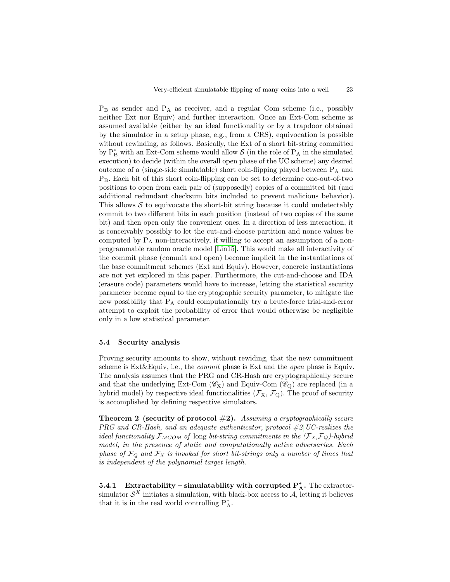<span id="page-22-0"></span> $P_B$  as sender and  $P_A$  as receiver, and a regular Com scheme (i.e., possibly neither Ext nor Equiv) and further interaction. Once an Ext-Com scheme is assumed available (either by an ideal functionality or by a trapdoor obtained by the simulator in a setup phase, e.g., from a CRS), equivocation is possible without rewinding, as follows. Basically, the Ext of a short bit-string committed by  $P_B^*$  with an Ext-Com scheme would allow  $\mathcal S$  (in the role of  $P_A$  in the simulated execution) to decide (within the overall open phase of the UC scheme) any desired outcome of a (single-side simulatable) short coin-flipping played between  $P_A$  and PB. Each bit of this short coin-flipping can be set to determine one-out-of-two positions to open from each pair of (supposedly) copies of a committed bit (and additional red[undant](#page-28-7) checksum bits included to prevent malicious behavior). This allows  $\mathcal S$  to equivocate the short-bit string because it could undetectably commit to two different bits in each position (instead of two copies of the same bit) and then open only the convenient ones. In a direction of less interaction, it is conceivably possibly to let the cut-and-choose partition and nonce values be computed by  $P_A$  non-interactively, if willing to accept an assumption of a nonprogrammable random oracle model [Lin15]. This would make all interactivity of the commit phase (commit and open) become implicit in the instantiations of the base commitment schemes (Ext and Equiv). However, concrete instantiations are not yet explored in this paper. Furthermore, the cut-and-choose and IDA (erasure code) parameters would have to increase, letting the statistical security parameter become equal to the cryptographic security parameter, to mitigate the new possibility that P<sup>A</sup> could computationally try a brute-force trial-and-error attempt to exploit the probability of error that would otherwise be negligible only in a low statistical parameter.

## 5.4 Security analysis

Proving security amounts to show, without rewiding, that the new commitment scheme is  $Ext\&Equiv$ , i.e., the *commit* phase is Ext and the *open* phase is Equiv. The analysis assumes that the [PRG and C](#page-17-0)R-Hash are cryptographically secure and that the underlying Ext-Com  $(\mathscr{C}_{\mathbf{X}})$  and Equiv-Com  $(\mathscr{C}_{\mathbf{Q}})$  are replaced (in a hybrid model) by respective ideal functionalities  $(\mathcal{F}_{X}, \mathcal{F}_{Q})$ . The proof of security is accomplished by defining respective simulators.

**Theorem 2** (security of protocol  $\#2$ ). Assuming a cryptographically secure PRG and CR-Hash, and an adequate authenticator, protocol  $\#2$  UC-realizes the ideal functionality  $\mathcal{F}_{MCOM}$  of long bit-string commitments in the  $(\mathcal{F}_X, \mathcal{F}_Q)$ -hybrid model, in the presence of static and computationally active adversaries. Each phase of  $\mathcal{F}_{Q}$  and  $\mathcal{F}_{X}$  is invoked for short bit-strings only a number of times that is independent of the polynomial target length.

5.4.1 Extractability – simulatability with corrupted  $P_A^*$ . The extractorsimulator  $S^X$  initiates a simulation, with black-box access to  $A$ , letting it believes that it is in the real world controlling  $P_A^*$ .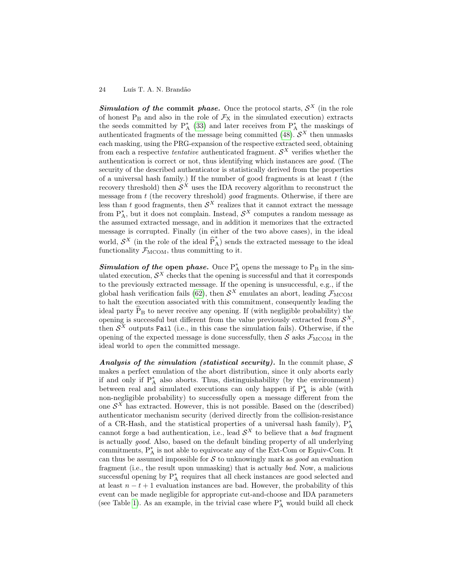**Simulation of the commit phase.** Once the protocol starts,  $S^X$  (in the role of honest  $P_B$  and also in the role of  $\mathcal{F}_X$  in the simulated execution) extracts the seeds committed by  $P_A^*$  (33) and later receives from  $P_A^*$  the maskings of authenticated fragments of the message being committed (48).  $S<sup>X</sup>$  then unmasks each masking, using the PRG-expansion of the respective extracted seed, obtaining from each a respective *tentative* authenticated fragment.  $S^X$  verifies whether the authentication is correct or not, thus identifying which instances are good. (The security of the described authenticator is statistically derived from the properties of a universal hash family.) If the number of good fragments is at least  $t$  (the recovery threshold) then  $S^X$  uses the IDA recovery algorithm to reconstruct the message from  $t$  (the recovery threshold) good fragments. Otherwise, if there are less than t good fragments, then  $S^X$  realizes that it cannot extract the message from  $P_A^*$ , but it does not complain. Instead,  $S^X$  computes a random message as the assumed extracted message, and in addition it memorizes that the extracted message is corrupted. Finally (in either of the two above cases), in the ideal world,  $S^X$  $S^X$  (in the role of the ideal  $\widehat{P}_A^*$ ) sends the extracted message to the ideal functionality  $\mathcal{F}_{\text{MCOM}}$ , thus committing to it.

**Simulation of the open phase.** Once  $P_A^*$  opens the message to  $P_B$  in the simulated execution,  $\mathcal{S}^X$  checks that the opening is successful and that it corresponds to the previously extracted message. If the opening is unsuccessful, e.g., if the global hash verification fails (62), then  $\mathcal{S}^X$  emulates an abort, leading  $\mathcal{F}_{\text{MCOM}}$ to halt the execution associated with this commitment, consequently leading the ideal party  $\widehat{P}_B$  to never receive any opening. If (with negligible probability) the opening is successful but different from the value previously extracted from  $\mathcal{S}^X$ , then  $S^X$  outputs Fail (i.e., in this case the simulation fails). Otherwise, if the opening of the expected message is done successfully, then  $S$  asks  $\mathcal{F}_{\text{MCOM}}$  in the ideal world to open the committed message.

Analysis of the simulation (statistical security). In the commit phase,  $S$ makes a perfect emulation of the abort distribution, since it only aborts early if and only if  $P_A^*$  also aborts. Thus, distinguishability (by the environment) between real and simulated executions can only happen if  $P_A^*$  is able (with non-negligible probability) to successfully open a message different from the one  $S<sup>X</sup>$  has extracted. However, this is not possible. Based on the (described) authenticator mechanism security (derived directly from the collision-resistance of a CR-Hash, and the statistical properties of a universal hash family),  $P_A^*$ cannot forge a bad authentication, i.e., lead  $S<sup>X</sup>$  to believe that a bad fragment is actually good. Also, based on the default binding property of all underlying commitments,  $P_A^*$  is not able to equivocate any of the Ext-Com or Equiv-Com. It can thus be assumed impossible for  $S$  to unknowingly mark as good an evaluation fragment (i.e., the result upon unmasking) that is actually bad. Now, a malicious successful opening by  $P_A^*$  requires that all check instances are good selected and at least  $n - t + 1$  evaluation instances are bad. However, the probability of this event can be made negligible for appropriate cut-and-choose and IDA parameters (see Table 1). As an example, in the trivial case where  $P_A^*$  would build all check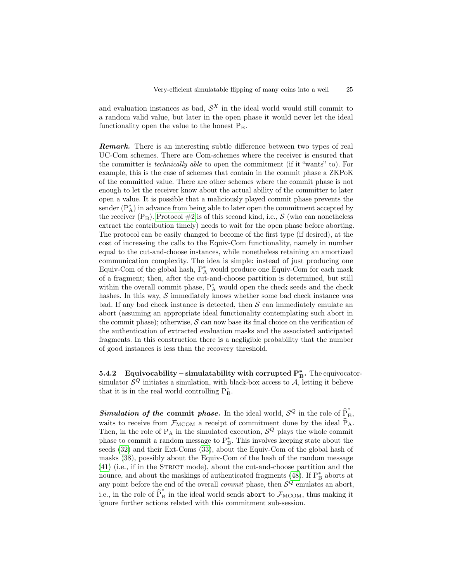and evaluation instances as bad,  $S<sup>X</sup>$  in the ideal world would still commit to a random valid value, but later in the open phase it would never let the ideal functionality open the value to the honest  $P_B$ .

Remark. There is an interesting subtle difference between two types of real UC-Com schemes. There are Com-schemes where the receiver is ensured that [the comm](#page-17-0)itter is technically able to open the commitment (if it "wants" to). For example, this is the case of schemes that contain in the commit phase a ZKPoK of the committed value. There are other schemes where the commit phase is not enough to let the receiver know about the actual ability of the committer to later open a value. It is possible that a maliciously played commit phase prevents the sender  $(P_A^*)$  in advance from being able to later open the commitment accepted by the receiver  $(P_B)$ . Protocol  $\#2$  is of this second kind, i.e., S (who can nonetheless extract the contribution timely) needs to wait for the open phase before aborting. The protocol can be easily changed to become of the first type (if desired), at the cost of increasing the calls to the Equiv-Com functionality, namely in number equal to the cut-and-choose instances, while nonetheless retaining an amortized communication complexity. The idea is simple: instead of just producing one Equiv-Com of the global hash,  $P_A^*$  would produce one Equiv-Com for each mask of a fragment; then, after the cut-and-choose partition is determined, but still within the overall commit phase,  $\mathcal{P}^*_\mathcal{A}$  would open the check seeds and the check hashes. In this way,  $\mathcal S$  immediately knows whether some bad check instance was bad. If any bad check instance is detected, then  $S$  can immediately emulate an abort (assuming an appropriate ideal functionality contemplating such abort in the commit phase); otherwise,  $S$  can now base its final choice on the verification of the authentication of extracted evaluation masks and the associated anticipated fragments. In this construction there is a negligible probability that the number of good instances is less than the recovery threshold.

**5.4.2** Equivocability – simulatability with corrupted  $P_{B}^{*}$ . The equivocatorsimulator  $\mathcal{S}^Q$  initiates a simulation, with black-box access to  $\mathcal{A}$ , letting it believe that it is i[n th](#page-18-5)e real world controlling  $P_B^*$ .

**Simulation of the commit phase.** In the ideal world,  $S^Q$  in the role of  $\widehat{P}^*_{\text{B}}$ , waits to receive from  $\mathcal{F}_{\text{MCOM}}$  a recei[pt o](#page-18-28)f commitment done by the ideal  $\widehat{P}_A$ . Then, in the role of  $P_A$  in the simulated execution,  $S^Q$  plays the whole commit phase to commit a random message to  $P_B^*$ . This involves keeping state about the seeds (32) and their Ext-Coms (33), about the Equiv-Com of the global hash of masks (38), possibly about the Equiv-Com of the hash of the random message (41) (i.e., if in the Strict mode), about the cut-and-choose partition and the nounce, and about the maskings of authenticated fragments (48). If  $P_B^*$  aborts at any point before the end of the overall *commit* phase, then  $S^Q$  emulates an abort, i.e., in the role of  $\widehat{P}_{B}^{*}$  in the ideal world sends abort to  $\mathcal{F}_{MCOM}$ , thus making it ignore further actions related with this commitment sub-session.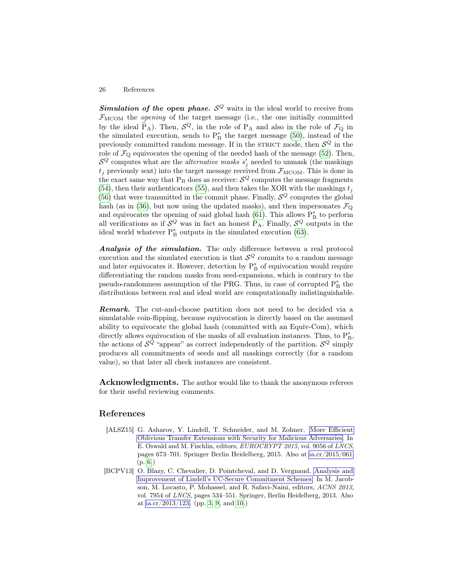### 26 References

**Simulation of the open phase.**  $S^Q$  waits in the ideal world to receive from  $\mathcal{F}_{\text{MCOM}}$  the *opening* of the target message (i.e., the one initially committed by the ideal  $\hat{P}_A$ ). Then,  $S^Q$ , in the role of  $P_A$  and also in the role of  $\mathcal{F}_Q$  in the simu[late](#page-18-20)d execution, sends to  $P_B^*$  the target message (50), instead of the previously committed random message. If in the STRICT mode, then  $\mathcal{S}^Q$  in the role of  $\mathcal{F}_{\mathcal{Q}}$  equivocates the opening of the needed hash of the message (52). Then,  $\mathcal{S}^{\mathcal{Q}}$  computes what are the *[alte](#page-18-25)rnative masks*  $s'_{j}$  needed to unmask (the maskings  $t_i$  previously sent) into the target message received from  $\mathcal{F}_{\text{MCOM}}$ . This is done in the exact same way that  $P_B$  does as recei[ver:](#page-18-27)  $S^Q$  computes the message fragments (54), then their authenticators (55), and then takes the XOR with the maskings  $t_i$ (56) that were transmitted in the commit phase. Finally,  $S^Q$  computes the global hash (as in (36), but now using the updated masks), and then impersonates  $\mathcal{F}_{Q}$ and equivocates the opening of said global hash (61). This allows  $P_B^*$  to perform all verifications as if  $S^Q$  was in fact an honest  $P_A$ . Finally,  $S^Q$  outputs in the ideal world whatever  $P_B^*$  outputs in the simulated execution (63).

Analysis of the simulation. The only difference between a real protocol execution and the simulated execution is that  $\mathcal{S}^Q$  commits to a random message and later equivocates it. However, detection by  $P_B^*$  of equivocation would require differentiating the random masks from seed-expansions, which is contrary to the pseudo-randomness assumption of the PRG. Thus, in case of corrupted  $P_B^*$  the distributions between real and ideal world are computationally indistinguishable.

Remark. The cut-and-choose partition does not need to be decided via a simulatable coin-flipping, because equivocation is directly based on the assumed ability to equivocate the global hash (committed with an Equiv-Com), which directly allows equivocation of the masks of all evaluation instances. Thus, to  $P_B^*$ , the actions of  $\mathcal{S}^Q$  "appear" as correct independently of the partition.  $\mathcal{S}^Q$  simply produces all commitments of seeds and all maskings correctly (for a random value), so that later all check instances are consistent.

<span id="page-25-1"></span>Acknowledgments. [The author would like to thank](https://dx.doi.org/10.1007/978-3-662-46800-5_26) the anonymous referees for their useful reviewing comments.

# <span id="page-25-0"></span>References

- [ALSZ15] [G. Asharov, Y. Lindell, T. Schneid](https://dx.doi.org/10.1007/978-3-642-38980-1_34)er, and M. Zohner. More Efficient Oblivious Transfer Extensions with Security for Malicious Adversaries. In [E.](#page-2-0) [Os](#page-8-0)wald [and](#page-9-1) M. Fischlin, editors, EUROCRYPT 2015, vol. 9056 of LNCS, pages 673–701. Springer Berlin Heidelberg, 2015. Also at ia.cr/2015/061. (p. 6.)
- [BCPV13] O. Blazy, C. Chevalier, D. Pointcheval, and D. Vergnaud. Analysis and Improvement of Lindell's UC-Secure Commitment Schemes. In M. Jacobson, M. Locasto, P. Mohassel, and R. Safavi-Naini, editors, ACNS 2013, vol. 7954 of LNCS, pages 534–551. Springer, Berlin Heidelberg, 2013. Also at ia.cr/2013/123. (pp. 3, 9, and 10.)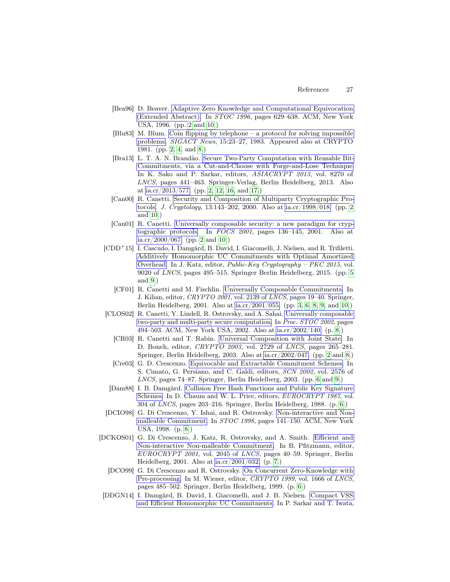- <span id="page-26-4"></span><span id="page-26-3"></span><span id="page-26-1"></span>[Bea96] [D. Beaver. Adaptive Zero Knowledge and Compu](https://dx.doi.org/10.1007/978-3-642-42045-0_23)tational Equivocation (Extended Abstract). In STOC 1996, pages 629–638. ACM, New York USA, 1996. (pp. 2 and 10.)
- [\[Blu](https://eprint.iacr.org/2013/577)83] [M.](#page-1-2) [Blu](#page-11-16)[m.](#page-15-0) Coi[n fli](#page-16-0)pping by telephone a protocol for solving impossible problems. SIGACT News[, 15:23–27, 1983. Appea](https://dx.doi.org/10.1007/s001459910006)red also at CRYPTO 1981. (pp. 2, 4, and 8.)
- <span id="page-26-0"></span>[Bra13] L. T. A. N. Brandão. Secu[re Two-Party Co](https://eprint.iacr.org/1998/018)mpu[tat](#page-1-2)ion with Reusable Bit-[Commitments, via a Cut-and-Choose with Forge](https://dx.doi.org/10.1109/SFCS.2001.959888)-and-Lose Technique. In K. Sako and P. Sarkar, editors, ASIACRYPT 2013, vol. 8270 of LN[CS](#page-9-1), pages 441–463. Springer-Verlag, Berlin Heidelberg, 2013. Also at ia.cr/2013/577. (pp. 2, 12, 16, and 17.)
- <span id="page-26-7"></span>[Can00] [R. Canetti. Security and Composition of Multipar](https://dx.doi.org/10.1007/978-3-662-46447-2_22)ty Cryptographic Protocols. J. Cryptology, 13:143–202, 2000. Also at ia.cr/1998/018. (pp. 2 and 10.)
- [Can01] R. Canetti. Universally composable security: a [ne](#page-4-0)w paradigm for cryptogra[phic protocols. In](https://dx.doi.org/10.1007/3-540-44647-8_2) FOCS 2001, pages 136–145, 2001. Also at ia.cr/2000/067. (pp. 2 and 10.)
- <span id="page-26-10"></span><span id="page-26-5"></span><span id="page-26-2"></span>[CDD<sup>+</sup>15] I. Cascud[o, I. Damgård, B](https://eprint.iacr.org/2001/055). Davi[d,](#page-2-0) [I.](#page-5-1) [Gia](#page-7-0)[co](#page-8-0)mell[i, J.](#page-9-1) Nielsen, and R. Trifiletti. Additively Homomorphic [UC Commitments with](https://dx.doi.org/10.1145/509907.509980) Optimal Amortized [Overhead. In J. Katz,](https://dx.doi.org/10.1145/509907.509980) editor, Public-Key Cryptography – PKC 2015, vol. 9020 of LNCS, pages 4[95–515. Springe](https://eprint.iacr.org/2002/140)r Be[rli](#page-7-0)n Heidelberg, 2015. (pp. 5 and 9.)
	- [CF01] R. [Canetti and M. Fischlin. Universally Com](https://dx.doi.org/10.1007/978-3-540-45146-4_16)posable Commitments. In J. Kilian, editor, CR[YPTO 2001](https://eprint.iacr.org/2002/047), vol. 213[9 o](#page-1-2)f LN[C](#page-7-0)S, pages 19–40. Springer, [Berlin Heidelberg, 2001. Also at ia.cr/2001/055](http://dx.doi.org/10.1007/3-540-36413-7_6). (pp. 3, 6, 8, 9, and 10.)
- <span id="page-26-8"></span>[CLOS02] R. Canetti, Y. Lindell, R. Ostrovsky, and A. Sahai. Universally composable two-party and multi-party secure com[pu](#page-5-1)tati[on.](#page-8-0) In Proc. STOC 2002, pages [494–503. ACM, New York USA, 2002. Also at ia.c](https://dx.doi.org/10.1007/3-540-39118-5_19)r/2002/140. (p. 8.)
	- [CR03] R. Canetti and T. Rabin. Universal Composition with Joint State. In D. Boneh, editor, CRYPTO 2003, vol. 272[9](#page-5-1) of LNCS, pages 265–281. Springer, Berlin Heidel[berg, 2003. Also at ia.cr/20](https://dx.doi.org/10.1145/276698.276722)02/047. (pp. 2 and 8.)
	- [\[Cre03\]](https://dx.doi.org/10.1145/276698.276722) G. D. Crescenzo. Equivocable and Extractable Commitment Schemes. In S. Cimato, G. Persiano, and C. Galdi, editors, SCN 2002, vol. 2576 of LNCS, pages 74–87. Springer, Berlin [Heidelberg, 2](https://dx.doi.org/10.1007/3-540-44987-6_4)003. (pp. 6 and 9.)
- <span id="page-26-9"></span>[Dam88] [I. B. Damgård. Collisio](https://dx.doi.org/10.1007/3-540-44987-6_4)n Free Hash Functions and Public Key Signature Schemes. In D. Chaum and W. L. Price, editors, EUROCRYPT 1987, vol. 304 of [LNCS](https://eprint.iacr.org/2001/032), pages 20[3–](#page-6-0)216. Springer, Berlin Heidelberg, 1988. (p. 6.)
- [DCIO98] G. Di Cresc[enzo, Y. Ishai, and R. Ostrovsky. Non](https://dx.doi.org/10.1007/3-540-48405-1_31)-interactive and Nonmalleable Commitment. In STOC 1998, pages 141–150. ACM, New York USA, 1998. (p. 8.)
- <span id="page-26-6"></span>[DCKOS01] G. Di Crescenzo, J. Katz, R. [O](#page-5-1)st[rovsky, and A.](https://eprint.iacr.org/2014/370) Smith. Efficient and [Non-interactive Non-m](https://eprint.iacr.org/2014/370)alleable Commitment. In B. Pfitzmann, editor, EUROCRYPT 2001, vol. 2045 of LNCS, pages 40–59. Springer, Berlin Heidelberg, 2001. Also at ia.cr/2001/032. (p. 7.)
	- [DCO99] G. Di Crescenzo and R. Ostrovsky. On Concurrent Zero-Knowledge with Pre-processing. In M. Wiener, editor, *CRYPTO 1999*, vol. 1666 of *LNCS*, pages 485–502. Springer, Berlin Heidelberg, 1999. (p. 6.)
- [DDGN14] I. Damgård, B. David, I. Giacomelli, and J. B. Nielsen. Compact VSS and Efficient Homomorphic UC Commitments. In P. Sarkar and T. Iwata,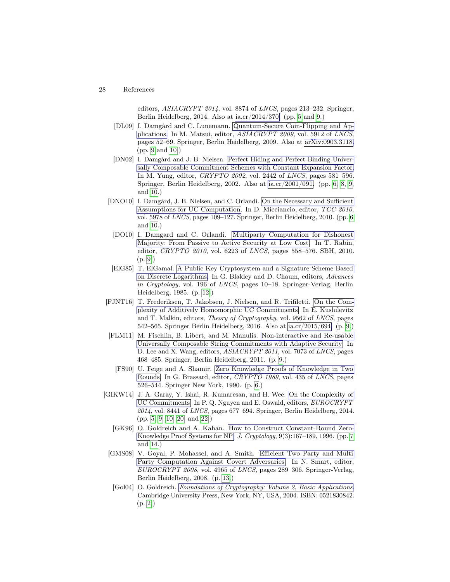## <span id="page-27-8"></span><span id="page-27-2"></span>[28](#page-9-1) References

editors, [ASIACRYPT 2014](https://dx.doi.org/10.1007/3-540-45708-9_37), vol. 8874 of LNCS, pages 213–232. Springer, [Berlin Heidelberg, 2014. Also at ia.cr/2014/370. \(](https://dx.doi.org/10.1007/3-540-45708-9_37)pp. 5 and 9.)

- [DL09] I. Damgård and C. [Lunemann. Quan](https://eprint.iacr.org/2001/091)tum-[Se](#page-5-1)[cu](#page-7-0)r[e](#page-8-0) Coin-Flipping and Applications. In M. Matsui, editor, ASIACRYPT 2009, vol. 5912 of LNCS, pages 52–69. Sprin[ger, Berlin Heidelberg, 2009. Al](https://dx.doi.org/10.1007/978-3-642-11799-2_8)so at arXiv:0903.3118. [\(pp. 9 and 10](https://dx.doi.org/10.1007/978-3-642-11799-2_8).)
- <span id="page-27-3"></span>[DN02] I. Damgård and J. B. Nielsen. Perfect Hiding an[d P](#page-5-1)erfect Binding Universally Composable Commitment Schemes with Constant Expansion Factor. In M. Yung, editor, CRYPTO 2002, vol. 2442 of LNCS, pages 581–596. [Springer, Berlin Heidelberg, 2002. Also at ia.cr/2](https://dx.doi.org/10.1007/978-3-642-14623-7_30)001/091. (pp. 6, 8, 9, and 10.)
- <span id="page-27-9"></span><span id="page-27-5"></span>[DNO10] I. Damgård, J. B. Nielsen, and C. Orlandi. On the Necessary and Sufficient [Assumptions for UC Computation. In D. Miccian](https://dx.doi.org/10.1007/3-540-39568-7_2)cio, editor, TCC 2010, vol. 5978 of LNCS, pages 109–127. Springer, Berlin Heidelberg, 2010. (pp. 6 [a](https://dx.doi.org/10.1007/3-540-39568-7_2)nd 10.)
- <span id="page-27-7"></span>[DO10] [I.](#page-11-16) Damgard and C. Orlandi. Multiparty Computation for Dishonest Majority: From Passive to Active [Security at Lo](http://dx.doi.org/10.1007/978-3-662-49096-9_23)w Cost. In T. Rabin, editor, [CRYPTO 2010](http://dx.doi.org/10.1007/978-3-662-49096-9_23), vol. 6223 of LNCS, pages 558–576. SBH, 2010. (p. 9.)
- [ElG85] T. ElGamal. A Public Key [Cryptosystem a](https://eprint.iacr.org/2015/694)nd [a S](#page-8-0)ignature Scheme Based on Discrete Logari[thms. In G. Blakley and D. Cha](https://dx.doi.org/10.1007/978-3-642-25385-0_25)um, editors, Advances in Cryptology, vol. 196 of LNCS, pages 10–18. Springer-Verlag, Berlin [Heidelberg, 1985. \(p. 12.\)](https://dx.doi.org/10.1007/978-3-642-25385-0_25)
- <span id="page-27-6"></span><span id="page-27-1"></span>[FJNT16] T. Frederiksen, T. Jako[bs](#page-8-0)en, J. Nielsen, and R. Trifiletti. On the Comple[xity of Additively Homomorphic UC Commitme](https://dx.doi.org/10.1007/0-387-34805-0_46)nts. In E. Kushilevitz and T. Malkin, editors, Theory of Cryptography, vol. 9562 of LNCS, pages 542–565. Spring[er B](#page-5-1)erlin Heidelberg, 2016. Also at ia.cr/2015/694. (p. 9.)
- <span id="page-27-0"></span>[FLM11] M. Fischlin, B. Libert, and M. Manulis. Non-interactive and Re-usable Universally Composable Str[ing Commitments with](https://dx.doi.org/10.1007/978-3-642-55220-5_37) Adaptive Security. In D. Lee and X. Wang, editors, ASIACRYPT 2011, vol. 7073 of LNCS, pages [46](#page-21-5)8–485. Springer, Berlin Heidelberg, 2011. (p. 9.)
	- [\[](#page-19-0)FS90] U. Feig[e and A. Shamir. Zero Knowledge Proofs](https://dx.doi.org/10.1007/BF00208001) of Knowledge in Two Rounds. In G. Brassard, editor, CRYPTO 1989, [vo](#page-6-0)l. 435 of LNCS, pages [526–544. S](https://dx.doi.org/10.1007/BF00208001)pringer New York, 1990. (p. 6.)
- <span id="page-27-10"></span><span id="page-27-4"></span>[GIKW14] J. A. Garay, Y. Ishai, R. Kumaresan, and H. Wee. On the Complexity of [UC Commitments. In P. Q. Nguyen and E. Oswald,](https://dx.doi.org/10.1007/978-3-540-78967-3_17) editors, EUROCRYPT  $2014$ , vol. 8441 of LNCS, pages 677–694. Springer, Berlin Heidelberg, 2014. (pp. [5, 9,](#page-12-0) 10, 20, and 22.)
	- [GK96] [O. Goldreich and A. Kahan. How to Construct](http://www.wisdom.weizmann.ac.il/~oded/foc-vol2.html) Constant-Round Zero-Knowledge Proof Systems for NP. J. Cryptology, 9(3):167–189, 1996. (pp. 7 and 14.)
	- [GMS08] V. Goyal, P. Mohassel, and A. Smith. Efficient Two Party and Multi Party Computation Against Covert Adversaries. In N. Smart, editor, EUROCRYPT 2008, vol. 4965 of LNCS, pages 289–306. Springer-Verlag, Berlin Heidelberg, 2008. (p. 13.)
	- [Gol04] O. Goldreich. Foundations of Cryptography: Volume 2, Basic Applications. Cambridge University Press, New York, NY, USA, 2004. ISBN: 0521830842. (p. 2.)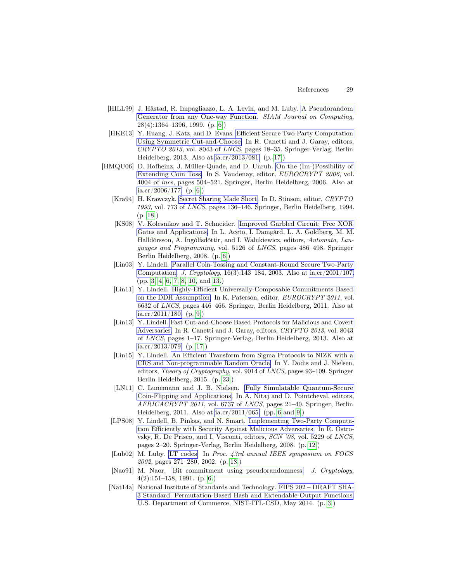- <span id="page-28-2"></span><span id="page-28-1"></span>[HILL99] J. [Håstad, R. Impa](https://eprint.iacr.org/2013/081)gli[az](#page-16-0)[zo, L. A. Levin, and M. Lu](https://dx.doi.org/10.1007/11761679_30)by. A Pseudorandom Generator from any One-way Function. SIAM Journal on Computing, 28(4):1364–1396, 1999. (p. 6.)
- [\[H](https://eprint.iacr.org/2006/177)KE[13\]](#page-5-1) Y. Huang, J. Katz, and D. Evans. Efficient Secure Two-Party Computation [Using Symmetric](https://dx.doi.org/10.1007/3-540-48329-2_12) Cut-and-Choose. In R. Canetti and J. Garay, editors, CRYPTO 2013, vol. 8043 of LNCS, pages 18–35. Springer-Verlag, Berlin Heidelberg, 2013. Also at ia.cr/2013/081. (p. 17.)
- <span id="page-28-7"></span><span id="page-28-6"></span><span id="page-28-5"></span><span id="page-28-4"></span><span id="page-28-3"></span><span id="page-28-0"></span>[HMQU06] D. Hofhein[z, J. Müller-Quade, and D. Unruh. On](https://dx.doi.org/10.1007/978-3-540-70583-3_40) the (Im-)Possibility of [E](https://dx.doi.org/10.1007/978-3-540-70583-3_40)xtending Coin Toss. In S. Vaudenay, editor, EUROCRYPT 2006, vol. 4004 of lncs, pages 504–521. Springer, Berlin Heidelberg, 2006. Also at ia.cr/2006/177. (p. 6.)
	- [Kra94] H. Kr[aw](#page-5-1)czyk. Secret Sharing Made Short. In D. Stinson, editor, CRYPTO 1993, vol. 773 of LNCS[, pages 136–146. Springer, B](https://dx.doi.org/10.1007/s00145-002-0143-7)erlin Heidelberg, 1994. (p. 18.)
	- [\[K](#page-7-0)[S0](#page-9-1)8] V. [Ko](#page-12-0)lesnikov and T. Schneider. [Improved Garbl](https://eprint.iacr.org/2001/107)ed Circuit: Free XOR [Gates and Applications. In L. Aceto, I. Damgård,](https://dx.doi.org/10.1007/978-3-642-20465-4_25) L. A. Goldberg, M. M. [Ha](https://dx.doi.org/10.1007/978-3-642-20465-4_25)lldórsson, A. Ingólfsdóttir, and I. Walukiewicz, editors, Automata, Languages and Programming, vol. 5126 of LNCS, pages 486–498. Springer Berlin Heidelberg, 2008. (p. 6.)
	- [\[](https://eprint.iacr.org/2011/180)Lin[03\]](#page-8-0) [Y. Lindell. Parallel Coin-Tossing and Constant-Ro](https://dx.doi.org/10.1007/978-3-642-40084-1_1)und Secure Two-Party Computation. J. Cryptology, 16(3):143–184, 2003. Also at ia.cr/2001/107. (pp. 3, 4, 6, 7, 8, 10, and 13.)
	- [\[](https://eprint.iacr.org/2013/079)Lin[11\]](#page-16-0) Y. Lindell. Highly-Efficient Universally-Composable Commitments Based [on the DDH Assumption. In K. Paterson, editor,](https://dx.doi.org/10.1007/978-3-662-46494-6_5) EUROCRYPT 2011, vol. 6632 of LNCS, pages 446–466. Springer, Berlin Heidelberg, 2011. Also at [ia.cr/2011/180. \(p. 9.\)](https://dx.doi.org/10.1007/978-3-662-46494-6_5)
	- [Lin13] Y. Li[nde](#page-22-0)ll. Fast Cut-and-Choose Based Protocols for Malicious and Covert Adversaries. [In R. Canetti and J. Garay, editors,](https://dx.doi.org/10.1007/978-3-642-21969-6_2) CRYPTO 2013, vol. 8043 of [LNCS](https://dx.doi.org/10.1007/978-3-642-21969-6_2), pages 1–17. Springer-Verlag, Berlin Heidelberg, 2013. Also at ia.cr/2013/079. (p. 17.)
	- [Lin15] Y. [Lindell. An Effi](https://eprint.iacr.org/2011/065)cient [Tr](#page-5-1)ansf[or](#page-8-0)m from Sigma Protocols to NIZK with a CRS and Non-[programmable Random Oracle. In Y](https://dx.doi.org/10.1007/978-3-540-85855-3_2). Dodis and J. Nielsen, editors, [Theory of Cryptography](https://dx.doi.org/10.1007/978-3-540-85855-3_2), vol. 9014 of LNCS, pages 93–109. Springer Berlin Heidelberg, 2015. (p. 23.)
	- [LN11] C. Lunemann and J. B. Nielsen. [F](#page-11-16)ully Simulatable Quantum-Secure Coin-Flipping and Applications. In A. Nitaj and D. Pointcheval, editors, AFRIC[ACR](#page-17-1)YPT 2011, vol. 6737 of LNCS, pages 21–40. Springer, Berlin [Heidelberg, 2011. Also at ia.cr/20](https://dx.doi.org/10.1007/BF00196774)11/065. (pp. 6 and 9.)
	- [LPS08] [Y.](#page-5-1) Lindell, B. Pinkas, and N. Smart. Implementing Two-Party Computation Efficiently with Sec[urity Against Malicious Ad](http://csrc.nist.gov/publications/PubsFIPS.html)versaries. In R. Ostro[vsky, R. De Prisco, and I. Visconti, editors,](http://csrc.nist.gov/publications/PubsFIPS.html) SCN '08, vol. 5229 of LNCS, pages 2–20. Springer-Verlag, Berlin Heid[elb](#page-2-0)erg, 2008. (p. 12.)
	- [Lub02] M. Luby. LT codes. In Proc. 43rd annual IEEE symposium on FOCS 2002, pages 271–280, 2002. (p. 18.)
	- [Nao91] M. Naor. Bit commitment using pseudorandomness. J. Cryptology,  $4(2):151-158$ , 1991. (p. 6.)
	- [Nat14a] National Institute of Standards and Technology. FIPS 202 DRAFT SHA-3 Standard: Permutation-Based Hash and Extendable-Output Functions. U.S. Department of Commerce, NIST-ITL-CSD, May 2014. (p. 3.)